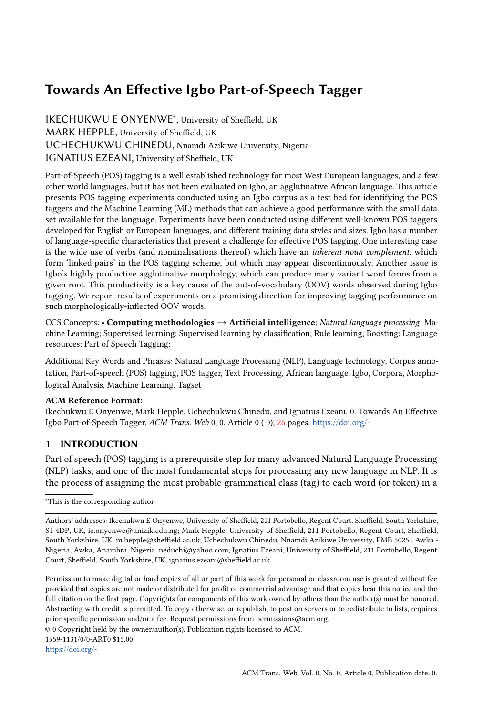# <span id="page-0-0"></span>Towards An Effective Igbo Part-of-Speech Tagger

IKECHUKWU E ONYENWE<sup>∗</sup> , University of Sheffield, UK MARK HEPPLE, University of Sheffield, UK UCHECHUKWU CHINEDU, Nnamdi Azikiwe University, Nigeria IGNATIUS EZEANI, University of Sheffield, UK

Part-of-Speech (POS) tagging is a well established technology for most West European languages, and a few other world languages, but it has not been evaluated on Igbo, an agglutinative African language. This article presents POS tagging experiments conducted using an Igbo corpus as a test bed for identifying the POS taggers and the Machine Learning (ML) methods that can achieve a good performance with the small data set available for the language. Experiments have been conducted using different well-known POS taggers developed for English or European languages, and different training data styles and sizes. Igbo has a number of language-specific characteristics that present a challenge for effective POS tagging. One interesting case is the wide use of verbs (and nominalisations thereof) which have an inherent noun complement, which form 'linked pairs' in the POS tagging scheme, but which may appear discontinuously. Another issue is Igbo's highly productive agglutinative morphology, which can produce many variant word forms from a given root. This productivity is a key cause of the out-of-vocabulary (OOV) words observed during Igbo tagging. We report results of experiments on a promising direction for improving tagging performance on such morphologically-inflected OOV words.

CCS Concepts: • Computing methodologies → Artificial intelligence; Natural language processing; Machine Learning; Supervised learning; Supervised learning by classification; Rule learning; Boosting; Language resources; Part of Speech Tagging;

Additional Key Words and Phrases: Natural Language Processing (NLP), Language technology, Corpus annotation, Part-of-speech (POS) tagging, POS tagger, Text Processing, African language, Igbo, Corpora, Morphological Analysis, Machine Learning, Tagset

## ACM Reference Format:

Ikechukwu E Onyenwe, Mark Hepple, Uchechukwu Chinedu, and Ignatius Ezeani. 0. Towards An Effective Igbo Part-of-Speech Tagger. ACM Trans. Web 0, 0, Article 0 ( 0), [26](#page-25-0) pages. <https://doi.org/->

# 1 INTRODUCTION

Part of speech (POS) tagging is a prerequisite step for many advanced Natural Language Processing (NLP) tasks, and one of the most fundamental steps for processing any new language in NLP. It is the process of assigning the most probable grammatical class (tag) to each word (or token) in a

© 0 Copyright held by the owner/author(s). Publication rights licensed to ACM.

1559-1131/0/0-ART0 \$15.00

<sup>∗</sup>This is the corresponding author

Authors' addresses: Ikechukwu E Onyenwe, University of Sheffield, 211 Portobello, Regent Court, Sheffield, South Yorkshire, S1 4DP, UK, ie.onyenwe@unizik.edu.ng; Mark Hepple, University of Sheffield, 211 Portobello, Regent Court, Sheffield, South Yorkshire, UK, m.hepple@sheffield.ac.uk; Uchechukwu Chinedu, Nnamdi Azikiwe University, PMB 5025 , Awka - Nigeria, Awka, Anambra, Nigeria, neduchi@yahoo.com; Ignatius Ezeani, University of Sheffield, 211 Portobello, Regent Court, Sheffield, South Yorkshire, UK, ignatius.ezeani@sheffield.ac.uk.

Permission to make digital or hard copies of all or part of this work for personal or classroom use is granted without fee provided that copies are not made or distributed for profit or commercial advantage and that copies bear this notice and the full citation on the first page. Copyrights for components of this work owned by others than the author(s) must be honored. Abstracting with credit is permitted. To copy otherwise, or republish, to post on servers or to redistribute to lists, requires prior specific permission and/or a fee. Request permissions from permissions@acm.org.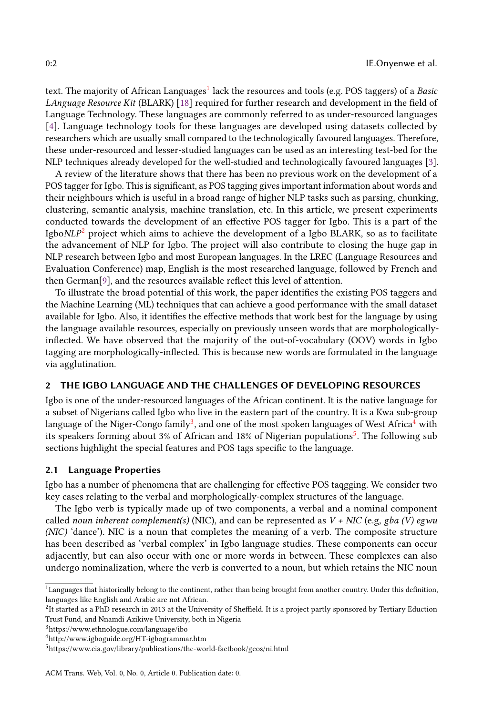text. The majority of African Languages $^1$  $^1$  lack the resources and tools (e.g. POS taggers) of a *Basic* LAnguage Resource Kit (BLARK) [\[18\]](#page-25-1) required for further research and development in the field of Language Technology. These languages are commonly referred to as under-resourced languages [\[4\]](#page-24-0). Language technology tools for these languages are developed using datasets collected by researchers which are usually small compared to the technologically favoured languages. Therefore, these under-resourced and lesser-studied languages can be used as an interesting test-bed for the NLP techniques already developed for the well-studied and technologically favoured languages [\[3\]](#page-24-1).

A review of the literature shows that there has been no previous work on the development of a POS tagger for Igbo. This is significant, as POS tagging gives important information about words and their neighbours which is useful in a broad range of higher NLP tasks such as parsing, chunking, clustering, semantic analysis, machine translation, etc. In this article, we present experiments conducted towards the development of an effective POS tagger for Igbo. This is a part of the Igbo $NLP^2$  $NLP^2$  project which aims to achieve the development of a Igbo BLARK, so as to facilitate the advancement of NLP for Igbo. The project will also contribute to closing the huge gap in NLP research between Igbo and most European languages. In the LREC (Language Resources and Evaluation Conference) map, English is the most researched language, followed by French and then German[\[9\]](#page-24-2), and the resources available reflect this level of attention.

To illustrate the broad potential of this work, the paper identifies the existing POS taggers and the Machine Learning (ML) techniques that can achieve a good performance with the small dataset available for Igbo. Also, it identifies the effective methods that work best for the language by using the language available resources, especially on previously unseen words that are morphologicallyinflected. We have observed that the majority of the out-of-vocabulary (OOV) words in Igbo tagging are morphologically-inflected. This is because new words are formulated in the language via agglutination.

# 2 THE IGBO LANGUAGE AND THE CHALLENGES OF DEVELOPING RESOURCES

Igbo is one of the under-resourced languages of the African continent. It is the native language for a subset of Nigerians called Igbo who live in the eastern part of the country. It is a Kwa sub-group language of the Niger-Congo family $^3$  $^3$ , and one of the most spoken languages of West Africa $^4$  $^4$  with its speakers forming about 3% of African and 18% of Nigerian populations<sup>[5](#page-1-4)</sup>. The following sub sections highlight the special features and POS tags specific to the language.

## <span id="page-1-5"></span>2.1 Language Properties

Igbo has a number of phenomena that are challenging for effective POS taqgging. We consider two key cases relating to the verbal and morphologically-complex structures of the language.

The Igbo verb is typically made up of two components, a verbal and a nominal component called noun inherent complement(s) (NIC), and can be represented as  $V + NIC$  (e.g, gba (V) egwu (NIC) 'dance'). NIC is a noun that completes the meaning of a verb. The composite structure has been described as 'verbal complex' in Igbo language studies. These components can occur adjacently, but can also occur with one or more words in between. These complexes can also undergo nominalization, where the verb is converted to a noun, but which retains the NIC noun

<span id="page-1-2"></span><sup>3</sup>https://www.ethnologue.com/language/ibo

<span id="page-1-0"></span><sup>&</sup>lt;sup>1</sup>Languages that historically belong to the continent, rather than being brought from another country. Under this definition, languages like English and Arabic are not African.

<span id="page-1-1"></span> $^2$ It started as a PhD research in 2013 at the University of Sheffield. It is a project partly sponsored by Tertiary Eduction Trust Fund, and Nnamdi Azikiwe University, both in Nigeria

<span id="page-1-3"></span><sup>4</sup>http://www.igboguide.org/HT-igbogrammar.htm

<span id="page-1-4"></span><sup>5</sup>https://www.cia.gov/library/publications/the-world-factbook/geos/ni.html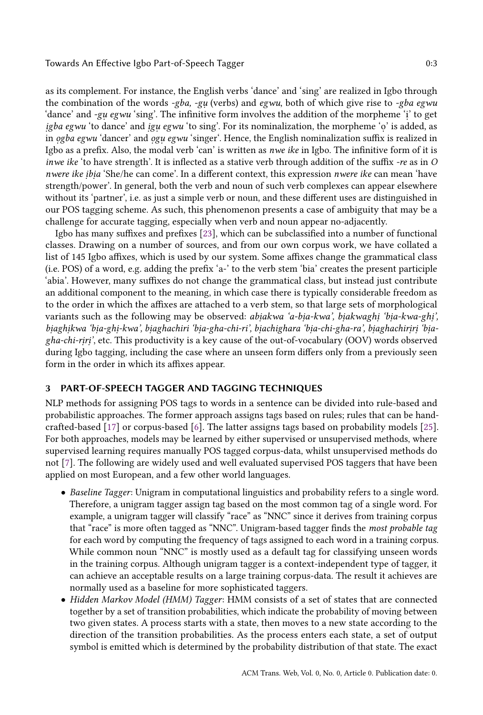Towards An Effective Igbo Part-of-Speech Tagger 0:3

as its complement. For instance, the English verbs 'dance' and 'sing' are realized in Igbo through the combination of the words *-gba, -gu* (verbs) and *egwu*, both of which give rise to *-gba egwu* 'dance' and -gu egwu 'sing'. The infinitive form involves the addition of the morpheme 'i' to get igba egwu 'to dance' and igu egwu 'to sing'. For its nominalization, the morpheme 'o' is added, as in  $ogba$   $egwu$  'dancer' and  $ogu$   $egwu$  'singer'. Hence, the English nominalization suffix is realized in Igbo as a prefix. Also, the modal verb 'can' is written as nwe ike in Igbo. The infinitive form of it is inwe ike 'to have strength'. It is inflected as a stative verb through addition of the suffix -re as in O nwere ike ibia 'She/he can come'. In a different context, this expression *nwere ike* can mean 'have strength/power'. In general, both the verb and noun of such verb complexes can appear elsewhere without its 'partner', i.e. as just a simple verb or noun, and these different uses are distinguished in our POS tagging scheme. As such, this phenomenon presents a case of ambiguity that may be a challenge for accurate tagging, especially when verb and noun appear no-adjacently.

Igbo has many suffixes and prefixes [\[23\]](#page-25-2), which can be subclassified into a number of functional classes. Drawing on a number of sources, and from our own corpus work, we have collated a list of 145 Igbo affixes, which is used by our system. Some affixes change the grammatical class (i.e. POS) of a word, e.g. adding the prefix 'a-' to the verb stem 'bia' creates the present participle 'abia'. However, many suffixes do not change the grammatical class, but instead just contribute an additional component to the meaning, in which case there is typically considerable freedom as to the order in which the affixes are attached to a verb stem, so that large sets of morphological variants such as the following may be observed: *abiakwa 'a-bia-kwa', biakwaghi 'bia-kwa-ghi'*, biaghikwa 'bia-ghi-kwa', biaghachiri 'bia-gha-chi-ri', biachighara 'bia-chi-gha-ra', biaghachiriri 'biag*ha-chi-riri'*, etc. This productivity is a key cause of the out-of-vocabulary (OOV) words observed during Igbo tagging, including the case where an unseen form differs only from a previously seen form in the order in which its affixes appear.

## <span id="page-2-0"></span>3 PART-OF-SPEECH TAGGER AND TAGGING TECHNIQUES

NLP methods for assigning POS tags to words in a sentence can be divided into rule-based and probabilistic approaches. The former approach assigns tags based on rules; rules that can be handcrafted-based [\[17\]](#page-24-3) or corpus-based [\[6\]](#page-24-4). The latter assigns tags based on probability models [\[25\]](#page-25-3). For both approaches, models may be learned by either supervised or unsupervised methods, where supervised learning requires manually POS tagged corpus-data, whilst unsupervised methods do not [\[7\]](#page-24-5). The following are widely used and well evaluated supervised POS taggers that have been applied on most European, and a few other world languages.

- Baseline Tagger: Unigram in computational linguistics and probability refers to a single word. Therefore, a unigram tagger assign tag based on the most common tag of a single word. For example, a unigram tagger will classify "race" as "NNC" since it derives from training corpus that "race" is more often tagged as "NNC". Unigram-based tagger finds the most probable tag for each word by computing the frequency of tags assigned to each word in a training corpus. While common noun "NNC" is mostly used as a default tag for classifying unseen words in the training corpus. Although unigram tagger is a context-independent type of tagger, it can achieve an acceptable results on a large training corpus-data. The result it achieves are normally used as a baseline for more sophisticated taggers.
- Hidden Markov Model (HMM) Tagger: HMM consists of a set of states that are connected together by a set of transition probabilities, which indicate the probability of moving between two given states. A process starts with a state, then moves to a new state according to the direction of the transition probabilities. As the process enters each state, a set of output symbol is emitted which is determined by the probability distribution of that state. The exact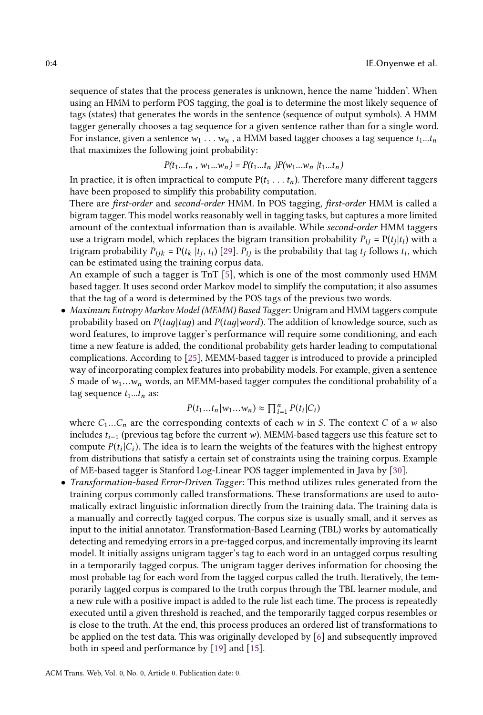sequence of states that the process generates is unknown, hence the name 'hidden'. When using an HMM to perform POS tagging, the goal is to determine the most likely sequence of tags (states) that generates the words in the sentence (sequence of output symbols). A HMM tagger generally chooses a tag sequence for a given sentence rather than for a single word. For instance, given a sentence  $w_1 \ldots w_n$ , a HMM based tagger chooses a tag sequence  $t_1...t_n$ that maximizes the following joint probability:

$$
P(t_1...t_n, w_1...w_n) = P(t_1...t_n)P(w_1...w_n | t_1...t_n)
$$

In practice, it is often impractical to compute  $P(t_1 \ldots t_n)$ . Therefore many different taggers<br>have been proposed to simplify this probability computation have been proposed to simplify this probability computation.

There are first-order and second-order HMM. In POS tagging, first-order HMM is called a bigram tagger. This model works reasonably well in tagging tasks, but captures a more limited amount of the contextual information than is available. While second-order HMM taggers use a trigram model, which replaces the bigram transition probability  $P_{ij} = P(t_j|t_i)$  with a<br>trigram probability  $P_{ij} = P(t, |t, t_i)$  [20],  $P_{ij}$  is the probability that tag t, follows t, which trigram probability  $P_{ijk} = P(t_k | t_j, t_i)$  [\[29\]](#page-25-4).  $P_{ij}$  is the probability that tag  $t_j$  follows  $t_i$ , which can be estimated using the training corpus data.

An example of such a tagger is TnT [\[5\]](#page-24-6), which is one of the most commonly used HMM based tagger. It uses second order Markov model to simplify the computation; it also assumes that the tag of a word is determined by the POS tags of the previous two words.

• Maximum Entropy Markov Model (MEMM) Based Tagger: Unigram and HMM taggers compute probability based on  $P(taq|taq)$  and  $P(taq|word)$ . The addition of knowledge source, such as word features, to improve tagger's performance will require some conditioning, and each time a new feature is added, the conditional probability gets harder leading to computational complications. According to [\[25\]](#page-25-3), MEMM-based tagger is introduced to provide a principled way of incorporating complex features into probability models. For example, given a sentence S made of  $w_1...w_n$  words, an MEMM-based tagger computes the conditional probability of a tag sequence  $t_1...t_n$  as:

$$
P(t_1...t_n|w_1...w_n) \approx \prod_{i=1}^n P(t_i|C_i)
$$

where  $C_1...C_n$  are the corresponding contexts of each w in S. The context C of a w also<br>includes the (previous tag before the current w) MEMM-based taggers use this feature set to includes  $t_{i-1}$  (previous tag before the current w). MEMM-based taggers use this feature set to compute  $P(t_i|C_i)$ . The idea is to learn the weights of the features with the highest entropy from distributions that satisfy a certain set of constraints using the training corpus. Example from distributions that satisfy a certain set of constraints using the training corpus. Example of ME-based tagger is Stanford Log-Linear POS tagger implemented in Java by [\[30\]](#page-25-5).

• Transformation-based Error-Driven Tagger: This method utilizes rules generated from the training corpus commonly called transformations. These transformations are used to automatically extract linguistic information directly from the training data. The training data is a manually and correctly tagged corpus. The corpus size is usually small, and it serves as input to the initial annotator. Transformation-Based Learning (TBL) works by automatically detecting and remedying errors in a pre-tagged corpus, and incrementally improving its learnt model. It initially assigns unigram tagger's tag to each word in an untagged corpus resulting in a temporarily tagged corpus. The unigram tagger derives information for choosing the most probable tag for each word from the tagged corpus called the truth. Iteratively, the temporarily tagged corpus is compared to the truth corpus through the TBL learner module, and a new rule with a positive impact is added to the rule list each time. The process is repeatedly executed until a given threshold is reached, and the temporarily tagged corpus resembles or is close to the truth. At the end, this process produces an ordered list of transformations to be applied on the test data. This was originally developed by [\[6\]](#page-24-4) and subsequently improved both in speed and performance by [\[19\]](#page-25-6) and [\[15\]](#page-24-7).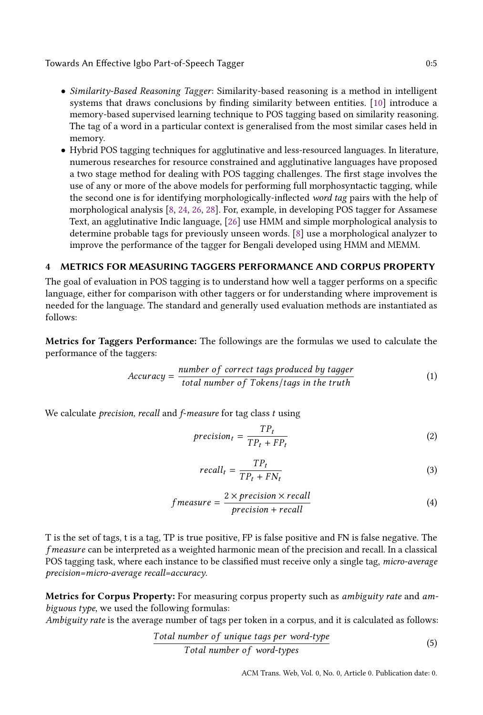Towards An Effective Igbo Part-of-Speech Tagger 0:5

- Similarity-Based Reasoning Tagger: Similarity-based reasoning is a method in intelligent systems that draws conclusions by finding similarity between entities. [\[10\]](#page-24-8) introduce a memory-based supervised learning technique to POS tagging based on similarity reasoning. The tag of a word in a particular context is generalised from the most similar cases held in memory.
- Hybrid POS tagging techniques for agglutinative and less-resourced languages. In literature, numerous researches for resource constrained and agglutinative languages have proposed a two stage method for dealing with POS tagging challenges. The first stage involves the use of any or more of the above models for performing full morphosyntactic tagging, while the second one is for identifying morphologically-inflected word tag pairs with the help of morphological analysis [\[8,](#page-24-9) [24,](#page-25-7) [26,](#page-25-8) [28\]](#page-25-9). For, example, in developing POS tagger for Assamese Text, an agglutinative Indic language, [\[26\]](#page-25-8) use HMM and simple morphological analysis to determine probable tags for previously unseen words. [\[8\]](#page-24-9) use a morphological analyzer to improve the performance of the tagger for Bengali developed using HMM and MEMM.

# <span id="page-4-0"></span>4 METRICS FOR MEASURING TAGGERS PERFORMANCE AND CORPUS PROPERTY

The goal of evaluation in POS tagging is to understand how well a tagger performs on a specific language, either for comparison with other taggers or for understanding where improvement is needed for the language. The standard and generally used evaluation methods are instantiated as follows:

Metrics for Taggers Performance: The followings are the formulas we used to calculate the performance of the taggers:

$$
Accuracy = \frac{number\ of\ correct\ tags\ produced\ by\ tagger}{total\ number\ of\ Tokens/tags\ in\ the\ truth} \tag{1}
$$

We calculate *precision*, recall and *f-measure* for tag class t using

<span id="page-4-1"></span>
$$
precision_t = \frac{TP_t}{TP_t + FP_t} \tag{2}
$$

<span id="page-4-2"></span>
$$
recall_t = \frac{TP_t}{TP_t + FN_t} \tag{3}
$$

$$
f measure = \frac{2 \times precision \times recall}{precision + recall}
$$
 (4)

T is the set of tags, t is a tag, TP is true positive, FP is false positive and FN is false negative. The f measure can be interpreted as a weighted harmonic mean of the precision and recall. In a classical POS tagging task, where each instance to be classified must receive only a single tag, micro-average precision=micro-average recall=accuracy.

Metrics for Corpus Property: For measuring corpus property such as *ambiguity rate* and *am*biguous type, we used the following formulas:

Ambiguity rate is the average number of tags per token in a corpus, and it is calculated as follows:

Total number o f unique taдs per word-type Total number o f word-types (5)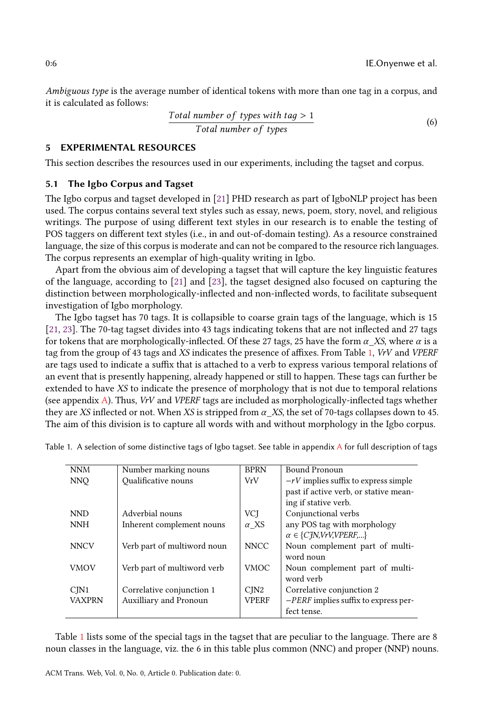Ambiguous type is the average number of identical tokens with more than one tag in a corpus, and it is calculated as follows:

Total number of types with 
$$
tag > 1
$$
  
Total number of types (6)

## 5 EXPERIMENTAL RESOURCES

This section describes the resources used in our experiments, including the tagset and corpus.

## <span id="page-5-1"></span>5.1 The Igbo Corpus and Tagset

The Igbo corpus and tagset developed in [\[21\]](#page-25-10) PHD research as part of IgboNLP project has been used. The corpus contains several text styles such as essay, news, poem, story, novel, and religious writings. The purpose of using different text styles in our research is to enable the testing of POS taggers on different text styles (i.e., in and out-of-domain testing). As a resource constrained language, the size of this corpus is moderate and can not be compared to the resource rich languages. The corpus represents an exemplar of high-quality writing in Igbo.

Apart from the obvious aim of developing a tagset that will capture the key linguistic features of the language, according to [\[21\]](#page-25-10) and [\[23\]](#page-25-2), the tagset designed also focused on capturing the distinction between morphologically-inflected and non-inflected words, to facilitate subsequent investigation of Igbo morphology.

The Igbo tagset has 70 tags. It is collapsible to coarse grain tags of the language, which is 15 [\[21,](#page-25-10) [23\]](#page-25-2). The 70-tag tagset divides into 43 tags indicating tokens that are not inflected and 27 tags for tokens that are morphologically-inflected. Of these 27 tags, 25 have the form  $\alpha$ \_XS, where  $\alpha$  is a tag from the group of 43 tags and XS indicates the presence of affixes. From Table [1,](#page-5-0) VrV and VPERF are tags used to indicate a suffix that is attached to a verb to express various temporal relations of an event that is presently happening, already happened or still to happen. These tags can further be extended to have XS to indicate the presence of morphology that is not due to temporal relations (see appendix [A\)](#page-23-0). Thus, VrV and VPERF tags are included as morphologically-inflected tags whether they are XS inflected or not. When XS is stripped from  $\alpha$ \_XS, the set of 70-tags collapses down to 45. The aim of this division is to capture all words with and without morphology in the Igbo corpus.

| <b>NNM</b>       | Number marking nouns        | <b>BPRN</b>  | Bound Pronoun                          |
|------------------|-----------------------------|--------------|----------------------------------------|
| <b>NNO</b>       | <b>Oualificative nouns</b>  | VrV          | $-rV$ implies suffix to express simple |
|                  |                             |              | past if active verb, or stative mean-  |
|                  |                             |              | ing if stative verb.                   |
| <b>NND</b>       | Adverbial nouns             | <b>VCI</b>   | Conjunctional verbs                    |
| <b>NNH</b>       | Inherent complement nouns   | $\alpha$ XS  | any POS tag with morphology            |
|                  |                             |              | $\alpha \in \{C\}$ N, VrV, VPERF,}     |
| <b>NNCV</b>      | Verb part of multiword noun | <b>NNCC</b>  | Noun complement part of multi-         |
|                  |                             |              | word noun                              |
| <b>VMOV</b>      | Verb part of multiword verb | <b>VMOC</b>  | Noun complement part of multi-         |
|                  |                             |              | word verb                              |
| C <sub>IN1</sub> | Correlative conjunction 1   | CIN2         | Correlative conjunction 2              |
| <b>VAXPRN</b>    | Auxilliary and Pronoun      | <b>VPERF</b> | $-PERF$ implies suffix to express per- |
|                  |                             |              | fect tense.                            |

<span id="page-5-0"></span>Table 1. [A](#page-23-0) selection of some distinctive tags of Igbo tagset. See table in appendix A for full description of tags

Table [1](#page-5-0) lists some of the special tags in the tagset that are peculiar to the language. There are 8 noun classes in the language, viz. the 6 in this table plus common (NNC) and proper (NNP) nouns.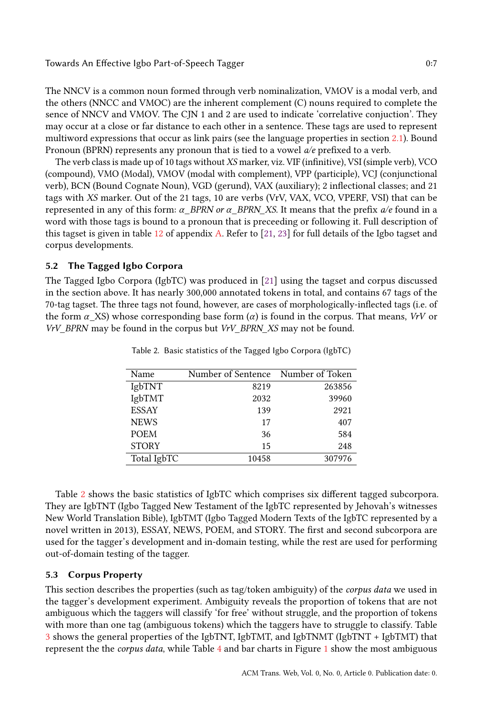Towards An Effective Igbo Part-of-Speech Tagger 0:7

The NNCV is a common noun formed through verb nominalization, VMOV is a modal verb, and the others (NNCC and VMOC) are the inherent complement (C) nouns required to complete the sence of NNCV and VMOV. The CJN 1 and 2 are used to indicate 'correlative conjuction'. They may occur at a close or far distance to each other in a sentence. These tags are used to represent multiword expressions that occur as link pairs (see the language properties in section [2.1\)](#page-1-5). Bound Pronoun (BPRN) represents any pronoun that is tied to a vowel a/e prefixed to a verb.

The verb class is made up of 10 tags without XS marker, viz. VIF (infinitive), VSI (simple verb), VCO (compound), VMO (Modal), VMOV (modal with complement), VPP (participle), VCJ (conjunctional verb), BCN (Bound Cognate Noun), VGD (gerund), VAX (auxiliary); 2 inflectional classes; and 21 tags with XS marker. Out of the 21 tags, 10 are verbs (VrV, VAX, VCO, VPERF, VSI) that can be represented in any of this form:  $\alpha$  BPRN or  $\alpha$  BPRN XS. It means that the prefix  $a/e$  found in a word with those tags is bound to a pronoun that is preceeding or following it. Full description of this tagset is given in table [12](#page-24-10) of appendix [A.](#page-23-0) Refer to [\[21,](#page-25-10) [23\]](#page-25-2) for full details of the Igbo tagset and corpus developments.

# 5.2 The Tagged Igbo Corpora

<span id="page-6-0"></span>The Tagged Igbo Corpora (IgbTC) was produced in [\[21\]](#page-25-10) using the tagset and corpus discussed in the section above. It has nearly 300,000 annotated tokens in total, and contains 67 tags of the 70-tag tagset. The three tags not found, however, are cases of morphologically-inflected tags (i.e. of the form  $\alpha$  XS) whose corresponding base form  $(\alpha)$  is found in the corpus. That means, VrV or VrV\_BPRN may be found in the corpus but VrV\_BPRN\_XS may not be found.

| Name         | Number of Sentence Number of Token |        |
|--------------|------------------------------------|--------|
| IgbTNT       | 8219                               | 263856 |
| IgbTMT       | 2032                               | 39960  |
| <b>ESSAY</b> | 139                                | 2921   |
| <b>NEWS</b>  | 17                                 | 407    |
| <b>POEM</b>  | 36                                 | 584    |
| <b>STORY</b> | 15                                 | 248    |
| Total IgbTC  | 10458                              | 307976 |

Table 2. Basic statistics of the Tagged Igbo Corpora (IgbTC)

Table [2](#page-6-0) shows the basic statistics of IgbTC which comprises six different tagged subcorpora. They are IgbTNT (Igbo Tagged New Testament of the IgbTC represented by Jehovah's witnesses New World Translation Bible), IgbTMT (Igbo Tagged Modern Texts of the IgbTC represented by a novel written in 2013), ESSAY, NEWS, POEM, and STORY. The first and second subcorpora are used for the tagger's development and in-domain testing, while the rest are used for performing out-of-domain testing of the tagger.

# 5.3 Corpus Property

This section describes the properties (such as tag/token ambiguity) of the corpus data we used in the tagger's development experiment. Ambiguity reveals the proportion of tokens that are not ambiguous which the taggers will classify 'for free' without struggle, and the proportion of tokens with more than one tag (ambiguous tokens) which the taggers have to struggle to classify. Table [3](#page-7-0) shows the general properties of the IgbTNT, IgbTMT, and IgbTNMT (IgbTNT + IgbTMT) that represent the the corpus data, while Table [4](#page-7-1) and bar charts in Figure [1](#page-8-0) show the most ambiguous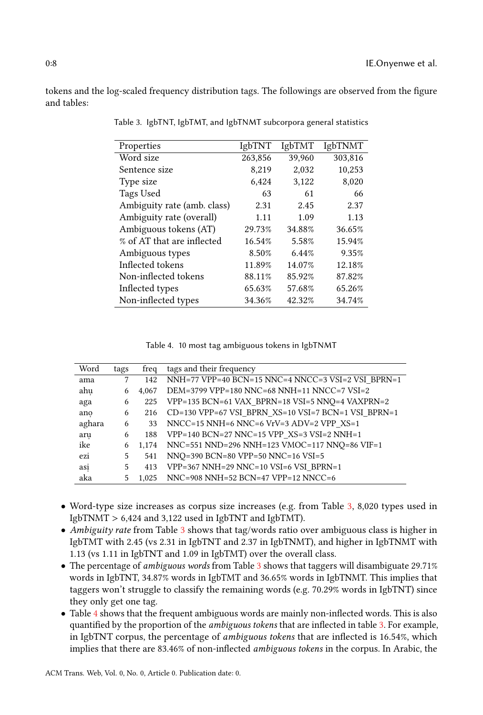<span id="page-7-0"></span>tokens and the log-scaled frequency distribution tags. The followings are observed from the figure and tables:

| <b>IgbTNT</b> | <b>IgbTMT</b> | <b>IgbTNMT</b> |
|---------------|---------------|----------------|
| 263,856       | 39,960        | 303,816        |
| 8,219         | 2,032         | 10,253         |
| 6,424         | 3,122         | 8,020          |
| 63            | 61            | 66             |
| 2.31          | 2.45          | 2.37           |
| 1.11          | 1.09          | 1.13           |
| 29.73%        | 34.88%        | 36.65%         |
| 16.54%        | 5.58%         | 15.94%         |
| 8.50%         | 6.44%         | 9.35%          |
| 11.89%        | 14.07%        | 12.18%         |
| 88.11%        | 85.92%        | 87.82%         |
| 65.63%        | 57.68%        | 65.26%         |
| 34.36%        | 42.32%        | 34.74%         |
|               |               |                |

Table 3. IgbTNT, IgbTMT, and IgbTNMT subcorpora general statistics

Table 4. 10 most tag ambiguous tokens in IgbTNMT

<span id="page-7-1"></span>

| Word   | tags | freq  | tags and their frequency                            |
|--------|------|-------|-----------------------------------------------------|
| ama    | 7    | 142   | NNH=77 VPP=40 BCN=15 NNC=4 NNCC=3 VSI=2 VSI BPRN=1  |
| ahu    | 6    | 4.067 | DEM=3799 VPP=180 NNC=68 NNH=11 NNCC=7 VSI=2         |
| aga    | 6    | 225   | VPP=135 BCN=61 VAX BPRN=18 VSI=5 NNQ=4 VAXPRN=2     |
| ano    | 6    | 216   | CD=130 VPP=67 VSI BPRN XS=10 VSI=7 BCN=1 VSI BPRN=1 |
| aghara | 6    | 33    | NNCC=15 NNH=6 NNC=6 VrV=3 ADV=2 VPP XS=1            |
| aru    | 6    | 188   | VPP=140 BCN=27 NNC=15 VPP XS=3 VSI=2 NNH=1          |
| ike    | 6    | 1.174 | NNC=551 NND=296 NNH=123 VMOC=117 NNQ=86 VIF=1       |
| ezi    | 5.   | 541   | NNQ=390 BCN=80 VPP=50 NNC=16 VSI=5                  |
| asi    | 5.   | 413   | VPP=367 NNH=29 NNC=10 VSI=6 VSI BPRN=1              |
| aka    | 5    | 1.025 | NNC=908 NNH=52 BCN=47 VPP=12 NNCC=6                 |

- Word-type size increases as corpus size increases (e.g. from Table [3,](#page-7-0) 8,020 types used in IgbTNMT > 6,424 and 3,122 used in IgbTNT and IgbTMT).
- Ambiguity rate from Table [3](#page-7-0) shows that tag/words ratio over ambiguous class is higher in IgbTMT with 2.45 (vs 2.31 in IgbTNT and 2.37 in IgbTNMT), and higher in IgbTNMT with 1.13 (vs 1.11 in IgbTNT and 1.09 in IgbTMT) over the overall class.
- The percentage of *ambiguous words* from Table [3](#page-7-0) shows that taggers will disambiguate 29.71% words in IgbTNT, 34.87% words in IgbTMT and 36.65% words in IgbTNMT. This implies that taggers won't struggle to classify the remaining words (e.g. 70.29% words in IgbTNT) since they only get one tag.
- Table [4](#page-7-1) shows that the frequent ambiguous words are mainly non-inflected words. This is also quantified by the proportion of the ambiguous tokens that are inflected in table [3.](#page-7-0) For example, in IgbTNT corpus, the percentage of ambiguous tokens that are inflected is 16.54%, which implies that there are 83.46% of non-inflected ambiguous tokens in the corpus. In Arabic, the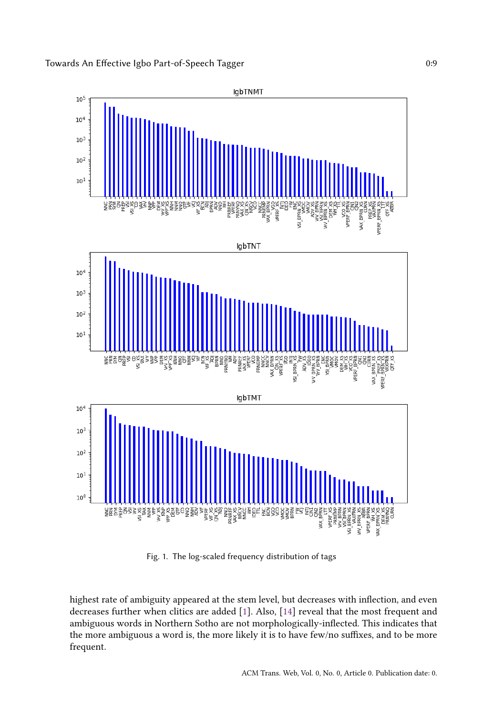<span id="page-8-0"></span>

Fig. 1. The log-scaled frequency distribution of tags

highest rate of ambiguity appeared at the stem level, but decreases with inflection, and even decreases further when clitics are added [\[1\]](#page-24-11). Also, [\[14\]](#page-24-12) reveal that the most frequent and ambiguous words in Northern Sotho are not morphologically-inflected. This indicates that the more ambiguous a word is, the more likely it is to have few/no suffixes, and to be more frequent.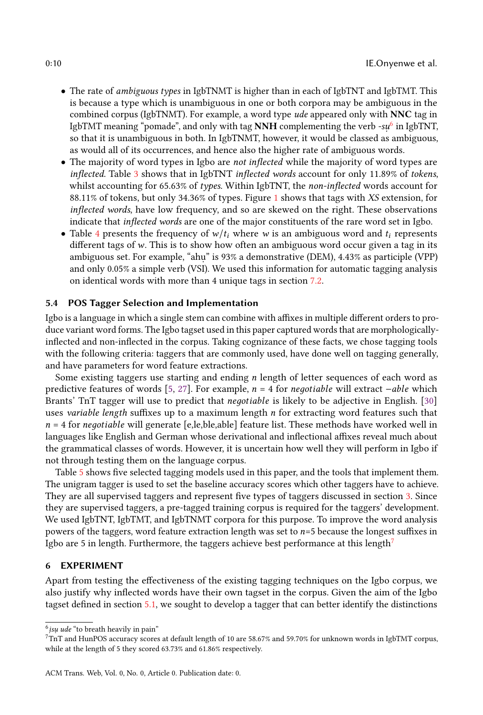- The rate of ambiguous types in IgbTNMT is higher than in each of IgbTNT and IgbTMT. This is because a type which is unambiguous in one or both corpora may be ambiguous in the combined corpus (IgbTNMT). For example, a word type ude appeared only with NNC tag in IgbTMT meaning "pomade", and only with tag  $\bold{NNH}$  complementing the verb -s $\mu^6$  $\mu^6$  in IgbTNT, so that it is unambiguous in both. In IgbTNMT, however, it would be classed as ambiguous, as would all of its occurrences, and hence also the higher rate of ambiguous words.
- The majority of word types in Igbo are *not inflected* while the majority of word types are inflected. Table [3](#page-7-0) shows that in IgbTNT inflected words account for only 11.89% of tokens, whilst accounting for 65.63% of types. Within IgbTNT, the non-inflected words account for 88.11% of tokens, but only 34.36% of types. Figure [1](#page-8-0) shows that tags with XS extension, for inflected words, have low frequency, and so are skewed on the right. These observations indicate that inflected words are one of the major constituents of the rare word set in Igbo.
- Table [4](#page-7-1) presents the frequency of  $w/t_i$  where w is an ambiguous word and  $t_i$  represents different tags of  $w$ . This is to show how often an ambiguous word occur given a tag in its ambiguous set. For example, "ahu. " is 93% a demonstrative (DEM), 4.43% as participle (VPP) and only 0.05% a simple verb (VSI). We used this information for automatic tagging analysis on identical words with more than 4 unique tags in section [7.2.](#page-12-0)

## 5.4 POS Tagger Selection and Implementation

Igbo is a language in which a single stem can combine with affixes in multiple different orders to produce variant word forms. The Igbo tagset used in this paper captured words that are morphologicallyinflected and non-inflected in the corpus. Taking cognizance of these facts, we chose tagging tools with the following criteria: taggers that are commonly used, have done well on tagging generally, and have parameters for word feature extractions.

Some existing taggers use starting and ending n length of letter sequences of each word as predictive features of words [\[5,](#page-24-6) [27\]](#page-25-11). For example,  $n = 4$  for negotiable will extract  $-able$  which Brants' TnT tagger will use to predict that *negotiable* is likely to be adjective in English. [\[30\]](#page-25-5) uses variable length suffixes up to a maximum length  $n$  for extracting word features such that  $n = 4$  for *negotiable* will generate [e,le,ble,able] feature list. These methods have worked well in languages like English and German whose derivational and inflectional affixes reveal much about the grammatical classes of words. However, it is uncertain how well they will perform in Igbo if not through testing them on the language corpus.

Table [5](#page-10-0) shows five selected tagging models used in this paper, and the tools that implement them. The unigram tagger is used to set the baseline accuracy scores which other taggers have to achieve. They are all supervised taggers and represent five types of taggers discussed in section [3.](#page-2-0) Since they are supervised taggers, a pre-tagged training corpus is required for the taggers' development. We used IgbTNT, IgbTMT, and IgbTNMT corpora for this purpose. To improve the word analysis powers of the taggers, word feature extraction length was set to  $n=5$  because the longest suffixes in Igbo are 5 in length. Furthermore, the taggers achieve best performance at this length<sup>[7](#page-9-1)</sup>

## 6 EXPERIMENT

Apart from testing the effectiveness of the existing tagging techniques on the Igbo corpus, we also justify why inflected words have their own tagset in the corpus. Given the aim of the Igbo tagset defined in section [5.1,](#page-5-1) we sought to develop a tagger that can better identify the distinctions

<span id="page-9-0"></span> $\frac{6}{1}$  isu ude "to breath heavily in pain"

<span id="page-9-1"></span> $7\,\rm{mT}$  and HunPOS accuracy scores at default length of 10 are 58.67% and 59.70% for unknown words in IgbTMT corpus, while at the length of 5 they scored 63.73% and 61.86% respectively.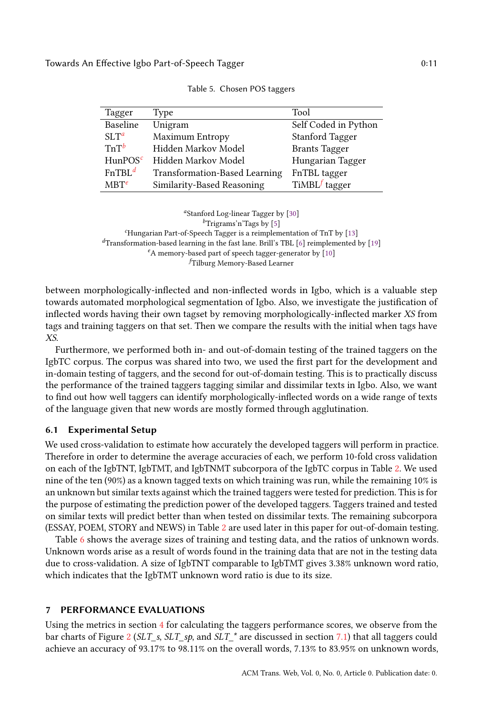<span id="page-10-0"></span>

| Tagger             | Type                                 | Tool                   |
|--------------------|--------------------------------------|------------------------|
| Baseline           | Unigram                              | Self Coded in Python   |
| $SLT^a$            | Maximum Entropy                      | <b>Stanford Tagger</b> |
| $TnT^b$            | Hidden Markov Model                  | <b>Brants Tagger</b>   |
| $H$ unPOS $^c$     | Hidden Markov Model                  | Hungarian Tagger       |
| EnTBL <sup>d</sup> | <b>Transformation-Based Learning</b> | FnTBL tagger           |
| $MBT^e$            | Similarity-Based Reasoning           | $TiMBLf$ tagger        |

Table 5. Chosen POS taggers

<sup>a</sup>Stanford Log-linear Tagger by [\[30\]](#page-25-5)

<sup>b</sup>Trigrams'n'Tags by [\[5\]](#page-24-6)

 $c$ Hungarian Part-of-Speech Tagger is a reimplementation of TnT by [\[13\]](#page-24-13)

 ${}^{d}$ Transformation-based learning in the fast lane. Brill's TBL [\[6\]](#page-24-4) reimplemented by [\[19\]](#page-25-6)

 $^e$  A memory-based part of speech tagger-generator by  $\left[ 10\right]$ 

<sup>f</sup>Tilburg Memory-Based Learner

between morphologically-inflected and non-inflected words in Igbo, which is a valuable step towards automated morphological segmentation of Igbo. Also, we investigate the justification of inflected words having their own tagset by removing morphologically-inflected marker XS from tags and training taggers on that set. Then we compare the results with the initial when tags have XS.

Furthermore, we performed both in- and out-of-domain testing of the trained taggers on the IgbTC corpus. The corpus was shared into two, we used the first part for the development and in-domain testing of taggers, and the second for out-of-domain testing. This is to practically discuss the performance of the trained taggers tagging similar and dissimilar texts in Igbo. Also, we want to find out how well taggers can identify morphologically-inflected words on a wide range of texts of the language given that new words are mostly formed through agglutination.

#### <span id="page-10-1"></span>6.1 Experimental Setup

We used cross-validation to estimate how accurately the developed taggers will perform in practice. Therefore in order to determine the average accuracies of each, we perform 10-fold cross validation on each of the IgbTNT, IgbTMT, and IgbTNMT subcorpora of the IgbTC corpus in Table [2.](#page-6-0) We used nine of the ten (90%) as a known tagged texts on which training was run, while the remaining 10% is an unknown but similar texts against which the trained taggers were tested for prediction. This is for the purpose of estimating the prediction power of the developed taggers. Taggers trained and tested on similar texts will predict better than when tested on dissimilar texts. The remaining subcorpora (ESSAY, POEM, STORY and NEWS) in Table [2](#page-6-0) are used later in this paper for out-of-domain testing.

Table [6](#page-11-0) shows the average sizes of training and testing data, and the ratios of unknown words. Unknown words arise as a result of words found in the training data that are not in the testing data due to cross-validation. A size of IgbTNT comparable to IgbTMT gives 3.38% unknown word ratio, which indicates that the IgbTMT unknown word ratio is due to its size.

#### PERFORMANCE EVALUATIONS

Using the metrics in section [4](#page-4-0) for calculating the taggers performance scores, we observe from the bar charts of Figure [2](#page-11-1) (SLT\_s, SLT\_sp, and SLT\_\* are discussed in section [7.1\)](#page-12-1) that all taggers could achieve an accuracy of 93.17% to 98.11% on the overall words, 7.13% to 83.95% on unknown words,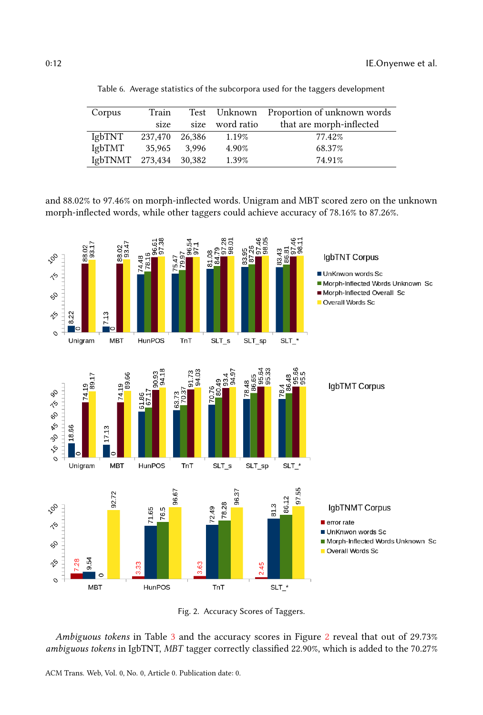<span id="page-11-0"></span>

| Corpus                | Train   |        |                 | Test Unknown Proportion of unknown words |
|-----------------------|---------|--------|-----------------|------------------------------------------|
|                       | size    |        | size word ratio | that are morph-inflected                 |
| <b>IgbTNT</b>         | 237,470 | 26.386 | 1.19%           | 77.42%                                   |
| IgbTMT                | 35,965  | 3.996  | 4.90%           | 68.37%                                   |
| $Ig$ b $TNMT$ 273,434 |         | 30,382 | 1.39%           | 74.91%                                   |

Table 6. Average statistics of the subcorpora used for the taggers development

and 88.02% to 97.46% on morph-inflected words. Unigram and MBT scored zero on the unknown morph-inflected words, while other taggers could achieve accuracy of 78.16% to 87.26%.

<span id="page-11-1"></span>

Fig. 2. Accuracy Scores of Taggers.

Ambiguous tokens in Table [3](#page-7-0) and the accuracy scores in Figure [2](#page-11-1) reveal that out of 29.73% ambiguous tokens in IgbTNT, MBT tagger correctly classified 22.90%, which is added to the 70.27%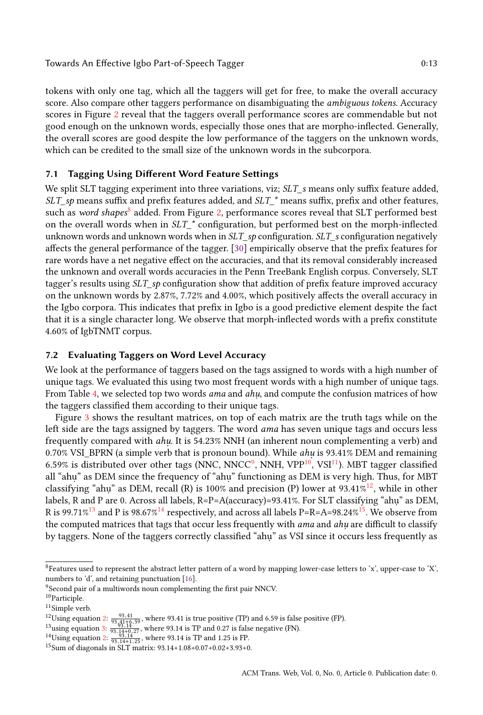tokens with only one tag, which all the taggers will get for free, to make the overall accuracy score. Also compare other taggers performance on disambiguating the *ambiguous tokens*. Accuracy scores in Figure [2](#page-11-1) reveal that the taggers overall performance scores are commendable but not good enough on the unknown words, especially those ones that are morpho-inflected. Generally, the overall scores are good despite the low performance of the taggers on the unknown words, which can be credited to the small size of the unknown words in the subcorpora.

# <span id="page-12-1"></span>7.1 Tagging Using Different Word Feature Settings

We split SLT tagging experiment into three variations, viz; SLT\_s means only suffix feature added,  $SLT$ <sub>-sp</sub> means suffix and prefix features added, and  $SLT$ <sup>\*</sup> means suffix, prefix and other features, such as *word shapes* $^8$  $^8$  added. From Figure [2,](#page-11-1) performance scores reveal that SLT performed best on the overall words when in  $SLT^*$  configuration, but performed best on the morph-inflected unknown words and unknown words when in SLT sp configuration. SLT s configuration negatively affects the general performance of the tagger. [\[30\]](#page-25-5) empirically observe that the prefix features for rare words have a net negative effect on the accuracies, and that its removal considerably increased the unknown and overall words accuracies in the Penn TreeBank English corpus. Conversely, SLT tagger's results using SLT\_sp configuration show that addition of prefix feature improved accuracy on the unknown words by 2.87%, 7.72% and 4.00%, which positively affects the overall accuracy in the Igbo corpora. This indicates that prefix in Igbo is a good predictive element despite the fact that it is a single character long. We observe that morph-inflected words with a prefix constitute 4.60% of IgbTNMT corpus.

# <span id="page-12-0"></span>7.2 Evaluating Taggers on Word Level Accuracy

We look at the performance of taggers based on the tags assigned to words with a high number of unique tags. We evaluated this using two most frequent words with a high number of unique tags. From Table [4,](#page-7-1) we selected top two words *ama* and *ahu*, and compute the confusion matrices of how the taggers classified them according to their unique tags.

Figure [3](#page-13-0) shows the resultant matrices, on top of each matrix are the truth tags while on the left side are the tags assigned by taggers. The word ama has seven unique tags and occurs less frequently compared with *ahu*. It is 54.23% NNH (an inherent noun complementing a verb) and  $0.70\%$  VSI\_BPRN (a simple verb that is pronoun bound). While  $ahu$  is 93.41% DEM and remaining 6.5[9](#page-12-3)% is distributed over other tags (NNC, NNCC<sup>9</sup>, NNH, VPP<sup>[10](#page-12-4)</sup>, VSI<sup>[11](#page-12-5)</sup>). MBT tagger classified all "ahu" as DEM since the frequency of "ahu" functioning as DEM is very high. Thus, for MBT classifying "ahu" as DEM, recall (R) is 100% and precision (P) lower at 93.41%<sup>[12](#page-12-6)</sup>, while in other labels, R and P are 0. Across all labels, R=P=A(accuracy)=93.41%. For SLT classifying "ahu" as DEM, R is 99.71%<sup>[13](#page-12-7)</sup> and P is 98.67%<sup>[14](#page-12-8)</sup> respectively, and across all labels P=R=A=98.24%<sup>[15](#page-12-9)</sup>. We observe from the computed matrices that tags that occur less frequently with *ama* and *ahu* are difficult to classify by taggers. None of the taggers correctly classified "ahu" as VSI since it occurs less frequently as

<span id="page-12-2"></span><sup>8</sup>Features used to represent the abstract letter pattern of a word by mapping lower-case letters to 'x', upper-case to 'X', numbers to 'd', and retaining punctuation [\[16\]](#page-24-14).

<span id="page-12-3"></span><sup>9</sup>Second pair of a multiwords noun complementing the first pair NNCV.

<span id="page-12-4"></span> $^{10}\mbox{Particle}$ 

<span id="page-12-5"></span><sup>&</sup>lt;sup>11</sup>Simple verb.

<span id="page-12-6"></span><sup>&</sup>lt;sup>12</sup>Using equation [2:](#page-4-1)  $\frac{93.41}{93.14+6.59}$ , where 93.41 is true positive (TP) and 6.59 is false positive (FP).<br><sup>13</sup>using equation [3:](#page-4-2)  $\frac{93.14}{93.14+6.59}$ , where 93.14 is TP and 0.27 is false negative (FN).<br><sup>14</sup>Using e

<span id="page-12-7"></span>

<span id="page-12-8"></span>

<span id="page-12-9"></span><sup>15</sup>Sum of diagonals in SLT matrix: 93.14+1.08+0.07+0.02+3.93+0.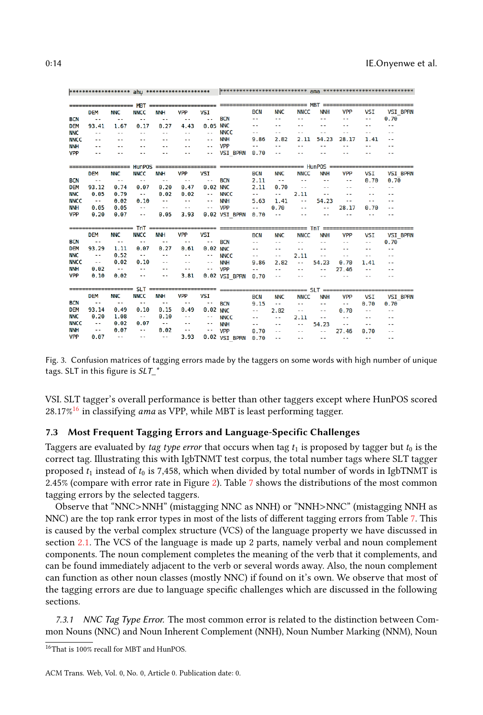|                          |                       |               | <b>MBT</b>    |                         |            |                          |                               |            |               |               | == MBT =====     |            |                          |                 |
|--------------------------|-----------------------|---------------|---------------|-------------------------|------------|--------------------------|-------------------------------|------------|---------------|---------------|------------------|------------|--------------------------|-----------------|
|                          | <b>DEM</b>            | <b>NNC</b>    | <b>NNCC</b>   | <b>NNH</b>              | <b>VPP</b> | <b>VSI</b>               |                               | <b>BCN</b> | <b>NNC</b>    | <b>NNCC</b>   | <b>NNH</b>       | <b>VPP</b> | <b>VSI</b>               | <b>VSI BPRN</b> |
| <b>BCN</b>               | ۰.                    | $ -$          | ٠.            | ۰.                      | ٠.         | $\overline{\phantom{a}}$ | <b>BCN</b>                    | ٠.         | ٠.            | - -           | ٠.               | ٠.         | --                       | 0.70            |
| DEM                      | 93.41                 | 1.67          | 0.17          | 0.27                    | 4.43       | 0.05                     | <b>NNC</b>                    |            | - -           |               | - -              | - -        | $-$                      | ٠.              |
| <b>NNC</b>               | $\sim$ $\sim$         | ٠.            | ٠.            | ٠.                      | ٠.         | $\sim$ $\sim$            | <b>NNCC</b>                   | ٠.         | ٠.            |               |                  | ٠.         |                          | ٠.              |
| <b>NNCC</b>              | $ -$                  | - -           |               |                         |            | $-$                      | <b>NNH</b>                    | 9.86       | 2.82          | 2.11          | 54.23            | 28.17      | 1.41                     | ٠.              |
| <b>NNH</b>               | - -                   |               | ٠.            |                         |            | - -                      | <b>VPP</b>                    | ٠.         | ٠.            | - -           | $ -$             | ٠.         | ٠.                       | . .             |
| <b>VPP</b>               | $ -$                  |               |               |                         |            | $ -$                     | <b>VSI BPRN</b>               | 0.70       | ٠.            |               |                  |            |                          | --              |
|                          |                       |               | <b>HunPOS</b> |                         |            |                          |                               |            |               |               | $==$ HunPOS $==$ |            |                          |                 |
|                          | <b>DEM</b>            | <b>NNC</b>    | <b>NNCC</b>   | <b>NNH</b>              | <b>VPP</b> | <b>VSI</b>               |                               | <b>BCN</b> | <b>NNC</b>    | <b>NNCC</b>   | <b>NNH</b>       | <b>VPP</b> | <b>VSI</b>               | <b>VSI BPRN</b> |
| <b>BCN</b>               | $\sim$ $\sim$         | $\ddotsc$     | ٠.            | ٠.                      | ٠.         | ۰.                       | <b>BCN</b>                    | 2.11       | $\sim$ $\sim$ | ۰.            | $\sim$ $\sim$    | ٠.         | 0.70                     | 0.70            |
| <b>DEM</b>               | 93.12                 | 0.74          | 0.07          | 0.20                    | 0.47       | 0.02                     | <b>NNC</b>                    | 2.11       | 0.70          | ٠.            | $ -$             | ٠.         | 44                       | ٥.              |
| <b>NNC</b>               | 0.05                  | 0.79          | $\sim$ $\sim$ | 0.02                    | 0.02       | $\sim$ $\sim$            | <b>NNCC</b>                   | ۰.         | ٠.            | 2.11          | ٠.               | ٠.         | ٠.                       | ٠.              |
| <b>NNCC</b>              | $\sim$ $\sim$         | 0.02          | 0.10          | $\sim$                  | $\ddotsc$  | $\ddotsc$                | <b>NNH</b>                    | 5.63       | 1.41          | $\sim$        | 54.23            | ٠.         | $\overline{a}$           | ٠.              |
| <b>NNH</b>               | 0.05                  | 0.05          | ۰.            | $\sim$ $\sim$           | ۰.         | $\sim$ $\sim$            | <b>VPP</b>                    | ٠.         | 0.70          | ٠.            | ٠.               | 28.17      | 0.70                     | ٠.              |
| <b>VPP</b>               | 0.20                  | 0.07          | ٠.            | 0.05                    | 3.93       |                          | 0.02 VSI BPRN                 | 0.70       | ٠.            | - -           |                  |            |                          | - -             |
|                          |                       |               | <b>TnT</b>    | ================        |            |                          |                               |            |               | ==            | $TnT =$          |            |                          |                 |
|                          | <b>DEM</b>            | <b>NNC</b>    | <b>NNCC</b>   | <b>NNH</b>              | <b>VPP</b> | <b>VSI</b>               |                               | <b>BCN</b> | <b>NNC</b>    | <b>NNCC</b>   | <b>NNH</b>       | <b>VPP</b> | VSI                      | <b>VSI BPRN</b> |
| <b>BCN</b>               |                       | - -           | - -           | $ -$                    | ٠.         | ۰.                       | <b>BCN</b>                    | ٠.         | ٠.            | --            | ٠.               | ٠.         | - -                      | 0.70            |
| <b>DEM</b>               | 93.29                 | 1.11          | 0.07          | 0.27                    | 0.61       | 0.02                     | <b>NNC</b>                    | ٠.         | - -           | ٠.            | ٠.               | - -        |                          | ٠.              |
| <b>NNC</b>               | $\sim$ $\sim$         | 0.52          | $\ddotsc$     | ٠.                      |            | $\ddotsc$                | <b>NNCC</b>                   | ٠.         | $-$           | 2.11          | ٠.               | ٠.         | ٠.                       | ٠.              |
| <b>NNCC</b>              | $\sim$ $\sim$         | 0.02          | 0.10          | ٠.                      | ٠.         | $\sim$ $\sim$            | <b>NNH</b>                    | 9.86       | 2.82          | $\sim$        | 54.23            | 0.70       | 1.41                     | --              |
| <b>NNH</b>               | 0.02                  | $\sim$ $\sim$ | ۰.            | - -                     | ٠.         | $-$                      | <b>VPP</b>                    |            | - -           |               |                  | 27.46      |                          | . .             |
| <b>VPP</b>               | 0.10                  | 0.02          | $\sim$        | $\sim$                  | 3.81       |                          | 0.02 VSI BPRN                 | 0.70       | ٠.            |               |                  | ٠.         | $ -$                     | - -             |
|                          |                       |               | <b>SLT</b>    | ======================= |            |                          |                               |            |               |               | ==== SLT ======= |            |                          |                 |
|                          | <b>DEM</b>            | <b>NNC</b>    | <b>NNCC</b>   | <b>NNH</b>              | <b>VPP</b> | <b>VSI</b>               |                               | <b>BCN</b> | <b>NNC</b>    | <b>NNCC</b>   | <b>NNH</b>       | <b>VPP</b> | <b>VSI</b>               | <b>VSI BPRN</b> |
| <b>BCN</b>               | ٠.                    | $\ddotsc$     | ٠.            | $-$                     | ٠.         | ۰.                       | <b>BCN</b>                    | 9.15       | ٠.            | ۰.            | ٠.               | ٠.         | 0.70                     | 0.70            |
| <b>DEM</b>               | 93.14                 | 0.49          | 0.10          | 0.15                    | 0.49       | 0.02                     | <b>NNC</b>                    | ٠.         | 2.82          | $\sim$ $\sim$ | ٠.               | 0.70       | $\overline{\phantom{a}}$ | ٠.              |
| <b>NNC</b>               | 0.20                  | 1.08          |               | 0.10                    |            | $\sim$ $\sim$            | <b>NNCC</b>                   | ٠.         | --            | 2.11          | ٠.               | $\sim$     | $ -$                     | ٠.              |
| <b>NNCC</b>              | $\sim$ $\sim$         | 0.02          | 0.07          | $\sim$ $\sim$           | ٠.         | $\sim$ $\sim$            | <b>NNH</b>                    | ٠.         | - -           |               | 54.23            | $\sim$     | ٠.                       | - -             |
|                          |                       |               |               |                         |            |                          |                               |            |               |               |                  |            |                          |                 |
| <b>NNH</b><br><b>VPP</b> | $\sim$ $\sim$<br>0.07 | 0.07          | ۰.            | 0.02<br>$\sim$ $\sim$   | ٠.<br>3.93 | $\sim$ $\sim$<br>0.02    | <b>VPP</b><br><b>VSI BPRN</b> | 0.70       | ٠.            | - -           | ٠.               | 27.46      | 0.70                     | ٠.              |

<span id="page-13-0"></span>

Fig. 3. Confusion matrices of tagging errors made by the taggers on some words with high number of unique tags. SLT in this figure is  $SLT$ <sup>\*</sup>

VSI. SLT tagger's overall performance is better than other taggers except where HunPOS scored  $28.17\%$ <sup>[16](#page-13-1)</sup> in classifying *ama* as VPP, while MBT is least performing tagger.

## 7.3 Most Frequent Tagging Errors and Language-Specific Challenges

Taggers are evaluated by tag type error that occurs when tag  $t_1$  is proposed by tagger but  $t_0$  is the correct tag. Illustrating this with IgbTNMT test corpus, the total number tags where SLT tagger proposed  $t_1$  instead of  $t_0$  is 7,458, which when divided by total number of words in IgbTNMT is 2.45% (compare with error rate in Figure [2\)](#page-11-1). Table [7](#page-14-0) shows the distributions of the most common tagging errors by the selected taggers.

Observe that "NNC>NNH" (mistagging NNC as NNH) or "NNH>NNC" (mistagging NNH as NNC) are the top rank error types in most of the lists of different tagging errors from Table [7.](#page-14-0) This is caused by the verbal complex structure (VCS) of the language property we have discussed in section [2.1.](#page-1-5) The VCS of the language is made up 2 parts, namely verbal and noun complement components. The noun complement completes the meaning of the verb that it complements, and can be found immediately adjacent to the verb or several words away. Also, the noun complement can function as other noun classes (mostly NNC) if found on it's own. We observe that most of the tagging errors are due to language specific challenges which are discussed in the following sections.

7.3.1 NNC Tag Type Error. The most common error is related to the distinction between Common Nouns (NNC) and Noun Inherent Complement (NNH), Noun Number Marking (NNM), Noun

<span id="page-13-1"></span><sup>16</sup>That is 100% recall for MBT and HunPOS.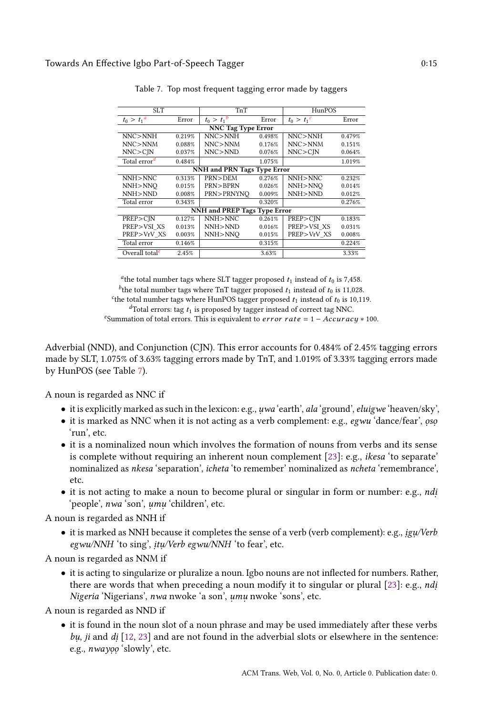<span id="page-14-0"></span>

| <b>SLT</b>                  |        | TnT                          |        | HunPOS        |        |
|-----------------------------|--------|------------------------------|--------|---------------|--------|
| $t_0 > t_1^a$               | Error  | $t_0 > t_1^{-b}$             | Error  | $t_0 > t_1^c$ | Error  |
|                             |        | <b>NNC Tag Type Error</b>    |        |               |        |
| NNC > NNH                   | 0.219% | NNC > NNH                    | 0.498% | NNC > NNH     | 0.479% |
| NNC > NNM                   | 0.088% | NNC>NNM                      | 0.176% | NNC > NNM     | 0.151% |
| NNC > CIN                   | 0.037% | NNC > NND                    | 0.076% | NNC > CIN     | 0.064% |
| Total error <sup>d</sup>    | 0.484% |                              | 1.075% |               | 1.019% |
| NNH and PRN Tags Type Error |        |                              |        |               |        |
| NNH>NNC                     | 0.313% | PRN>DEM                      | 0.276% | NNH>NNC       | 0.232% |
| NNH>NNO                     | 0.015% | PRN>BPRN                     | 0.026% | NNH>NNO       | 0.014% |
| NNH>NND                     | 0.008% | PRN>PRNYNO                   | 0.009% | NNH>NND       | 0.012% |
| Total error                 | 0.343% |                              | 0.320% |               | 0.276% |
|                             |        | NNH and PREP Tags Type Error |        |               |        |
| PREP > CIN                  | 0.127% | NNH>NNC                      | 0.261% | PREP>CIN      | 0.183% |
| PREP>VSIXS                  | 0.013% | NNH>NND                      | 0.016% | PREP>VSI XS   | 0.031% |
| PREP>VrV XS                 | 0.003% | NNH>NNO                      | 0.015% | PREP>VrV XS   | 0.008% |
| Total error                 | 0.146% |                              | 0.315% |               | 0.224% |
| Overall total <sup>e</sup>  | 2.45%  |                              | 3.63%  |               | 3.33%  |

Table 7. Top most frequent tagging error made by taggers

<sup>a</sup>the total number tags where SLT tagger proposed  $t_1$  instead of  $t_0$  is 7,458. <sup>b</sup> the total number tags where TnT tagger proposed  $t_1$  instead of  $t_0$  is 11,028.<br>he total number tags where HupPOS tagger proposed  $t_1$  instead of  $t_2$  is 10.11 <sup>c</sup> the total number tags where HunPOS tagger proposed  $t_1$  instead of  $t_0$  is 10,119.  ${}^{d}$ Total errors: tag  $t_1$  is proposed by tagger instead of correct tag NNC.

<sup>e</sup>Summation of total errors. This is equivalent to *error rate* =  $1 - Accuracy * 100$ .

Adverbial (NND), and Conjunction (CJN). This error accounts for 0.484% of 2.45% tagging errors made by SLT, 1.075% of 3.63% tagging errors made by TnT, and 1.019% of 3.33% tagging errors made by HunPOS (see Table [7\)](#page-14-0).

A noun is regarded as NNC if

- $\bullet$  it is explicitly marked as such in the lexicon: e.g., uwa 'earth', ala 'ground', eluigwe 'heaven/sky',
- $\bullet\,$  it is marked as NNC when it is not acting as a verb complement: e.g.,  $egwu$  'dance/fear',  $osp$ 'run', etc.
- it is a nominalized noun which involves the formation of nouns from verbs and its sense is complete without requiring an inherent noun complement [\[23\]](#page-25-2): e.g., ikesa 'to separate' nominalized as nkesa 'separation', icheta 'to remember' nominalized as ncheta 'remembrance', etc.
- it is not acting to make a noun to become plural or singular in form or number: e.g., ndi . 'people', nwa 'son', umu 'children', etc.

A noun is regarded as NNH if

 $\bullet\,$  it is marked as NNH because it completes the sense of a verb (verb complement): e.g.,  $ig\mu/Verb$ egwu/NNH 'to sing', *itu/Verb egwu/NNH* 'to fear', etc.

A noun is regarded as NNM if

• it is acting to singularize or pluralize a noun. Igbo nouns are not inflected for numbers. Rather, there are words that when preceding a noun modify it to singular or plural [\[23\]](#page-25-2): e.g., *ndi* Nigeria 'Nigerians', nwa nwoke 'a son', umu nwoke 'sons', etc.

A noun is regarded as NND if

• it is found in the noun slot of a noun phrase and may be used immediately after these verbs  $b\mu$ , ji and  $di$  [\[12,](#page-24-15) [23\]](#page-25-2) and are not found in the adverbial slots or elsewhere in the sentence: e.g., *nwayoo* 'slowly', etc.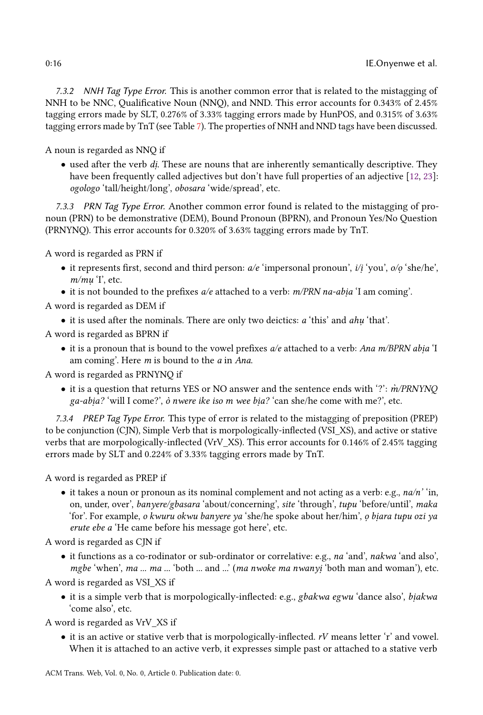7.3.2 NNH Tag Type Error. This is another common error that is related to the mistagging of NNH to be NNC, Qualificative Noun (NNQ), and NND. This error accounts for 0.343% of 2.45% tagging errors made by SLT, 0.276% of 3.33% tagging errors made by HunPOS, and 0.315% of 3.63% tagging errors made by TnT (see Table [7\)](#page-14-0). The properties of NNH and NND tags have been discussed.

A noun is regarded as NNQ if

 $\bullet\,$  used after the verb  $di.$  These are nouns that are inherently semantically descriptive. They have been frequently called adjectives but don't have full properties of an adjective [\[12,](#page-24-15) [23\]](#page-25-2): ogologo 'tall/height/long', obosara 'wide/spread', etc.

7.3.3 PRN Tag Type Error. Another common error found is related to the mistagging of pronoun (PRN) to be demonstrative (DEM), Bound Pronoun (BPRN), and Pronoun Yes/No Question (PRNYNQ). This error accounts for 0.320% of 3.63% tagging errors made by TnT.

A word is regarded as PRN if

- $\bullet$  it represents first, second and third person:  $a/e$  'impersonal pronoun',  $i/i$  'you',  $o/o$  'she/he', m/mu T, etc.
- it is not bounded to the prefixes  $a/e$  attached to a verb:  $m/PRN$  na-abia 'I am coming'.

A word is regarded as DEM if

- $\bullet$  it is used after the nominals. There are only two deictics:  $a$  'this' and  $ahu$  'that'.
- A word is regarded as BPRN if
	- it is a pronoun that is bound to the vowel prefixes  $a/e$  attached to a verb: Ana m/BPRN abia 'I am coming'. Here m is bound to the a in Ana.

A word is regarded as PRNYNQ if

• it is a question that returns YES or NO answer and the sentence ends with '?':  $\dot{m}/PRNYNO$ ga-abia? 'will I come?', ò nwere ike iso m wee bia? 'can she/he come with me?', etc.

7.3.4 PREP Tag Type Error. This type of error is related to the mistagging of preposition (PREP) to be conjunction (CJN), Simple Verb that is morpologically-inflected (VSI\_XS), and active or stative verbs that are morpologically-inflected (VrV\_XS). This error accounts for 0.146% of 2.45% tagging errors made by SLT and 0.224% of 3.33% tagging errors made by TnT.

A word is regarded as PREP if

• it takes a noun or pronoun as its nominal complement and not acting as a verb: e.g.,  $na/n'$  'in, on, under, over', banyere/gbasara 'about/concerning', site 'through', tupu 'before/until', maka 'for'. For example, *o kwuru okwu banyere ya* 'she/he spoke about her/him', *o biara tupu ozi ya* erute ebe a 'He came before his message got here', etc.

A word is regarded as CJN if

• it functions as a co-rodinator or sub-ordinator or correlative: e.g., na 'and', nakwa 'and also', mgbe 'when', ma ... ma ... 'both ... and ...' (ma nwoke ma nwanyi 'both man and woman'), etc.

A word is regarded as VSI\_XS if

 $\bullet\,$  it is a simple verb that is morpologically-inflected: e.g.,  $gbakwa~egwu$  'dance also',  $biakwa$ 'come also', etc.

A word is regarded as VrV\_XS if

• it is an active or stative verb that is morpologically-inflected. rV means letter 'r' and vowel. When it is attached to an active verb, it expresses simple past or attached to a stative verb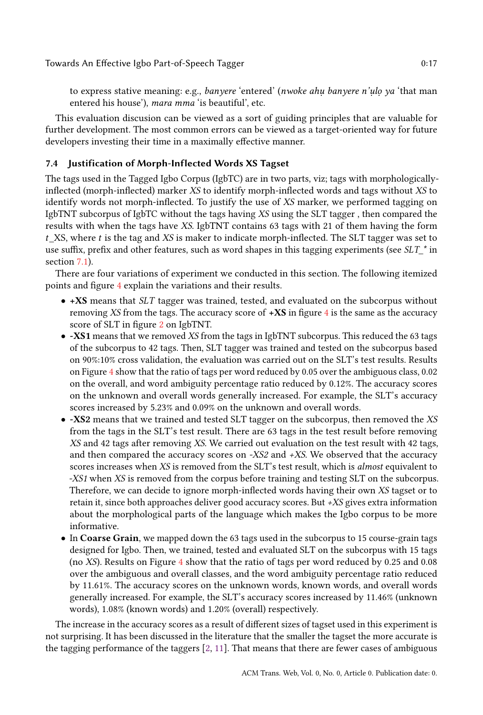to express stative meaning: e.g., *banyere 'entered' (nwoke ahu banyere n'ulo ya '*that man entered his house'), mara mma 'is beautiful', etc.

This evaluation discusion can be viewed as a sort of guiding principles that are valuable for further development. The most common errors can be viewed as a target-oriented way for future developers investing their time in a maximally effective manner.

# 7.4 Justification of Morph-Inflected Words XS Tagset

The tags used in the Tagged Igbo Corpus (IgbTC) are in two parts, viz; tags with morphologicallyinflected (morph-inflected) marker XS to identify morph-inflected words and tags without XS to identify words not morph-inflected. To justify the use of XS marker, we performed tagging on IgbTNT subcorpus of IgbTC without the tags having XS using the SLT tagger , then compared the results with when the tags have XS. IgbTNT contains 63 tags with 21 of them having the form  $t$  XS, where  $t$  is the tag and XS is maker to indicate morph-inflected. The SLT tagger was set to use suffix, prefix and other features, such as word shapes in this tagging experiments (see  $SLT^*$  in section [7.1\)](#page-12-1).

There are four variations of experiment we conducted in this section. The following itemized points and figure [4](#page-17-0) explain the variations and their results.

- +XS means that SLT tagger was trained, tested, and evaluated on the subcorpus without removing XS from the tags. The accuracy score of  $+$ **XS** in figure [4](#page-17-0) is the same as the accuracy score of SLT in figure [2](#page-11-1) on IgbTNT.
- -XS1 means that we removed XS from the tags in IgbTNT subcorpus. This reduced the 63 tags of the subcorpus to 42 tags. Then, SLT tagger was trained and tested on the subcorpus based on 90%:10% cross validation, the evaluation was carried out on the SLT's test results. Results on Figure [4](#page-17-0) show that the ratio of tags per word reduced by 0.05 over the ambiguous class, 0.02 on the overall, and word ambiguity percentage ratio reduced by 0.12%. The accuracy scores on the unknown and overall words generally increased. For example, the SLT's accuracy scores increased by 5.23% and 0.09% on the unknown and overall words.
- -XS2 means that we trained and tested SLT tagger on the subcorpus, then removed the XS from the tags in the SLT's test result. There are 63 tags in the test result before removing XS and 42 tags after removing XS. We carried out evaluation on the test result with 42 tags, and then compared the accuracy scores on  $-XS2$  and  $+XS$ . We observed that the accuracy scores increases when XS is removed from the SLT's test result, which is *almost* equivalent to -XS1 when XS is removed from the corpus before training and testing SLT on the subcorpus. Therefore, we can decide to ignore morph-inflected words having their own XS tagset or to retain it, since both approaches deliver good accuracy scores. But +XS gives extra information about the morphological parts of the language which makes the Igbo corpus to be more informative.
- In Coarse Grain, we mapped down the 63 tags used in the subcorpus to 15 course-grain tags designed for Igbo. Then, we trained, tested and evaluated SLT on the subcorpus with 15 tags (no XS). Results on Figure [4](#page-17-0) show that the ratio of tags per word reduced by 0.25 and 0.08 over the ambiguous and overall classes, and the word ambiguity percentage ratio reduced by 11.61%. The accuracy scores on the unknown words, known words, and overall words generally increased. For example, the SLT's accuracy scores increased by 11.46% (unknown words), 1.08% (known words) and 1.20% (overall) respectively.

The increase in the accuracy scores as a result of different sizes of tagset used in this experiment is not surprising. It has been discussed in the literature that the smaller the tagset the more accurate is the tagging performance of the taggers [\[2,](#page-24-16) [11\]](#page-24-17). That means that there are fewer cases of ambiguous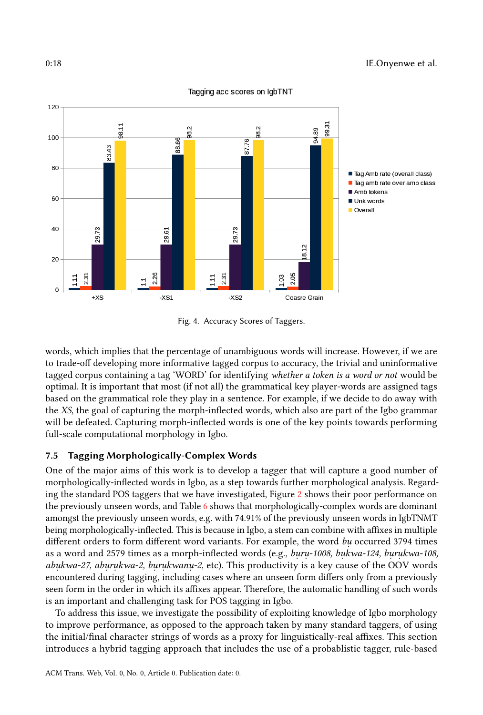<span id="page-17-0"></span>

Fig. 4. Accuracy Scores of Taggers.

words, which implies that the percentage of unambiguous words will increase. However, if we are to trade-off developing more informative tagged corpus to accuracy, the trivial and uninformative tagged corpus containing a tag 'WORD' for identifying whether a token is a word or not would be optimal. It is important that most (if not all) the grammatical key player-words are assigned tags based on the grammatical role they play in a sentence. For example, if we decide to do away with the XS, the goal of capturing the morph-inflected words, which also are part of the Igbo grammar will be defeated. Capturing morph-inflected words is one of the key points towards performing full-scale computational morphology in Igbo.

# 7.5 Tagging Morphologically-Complex Words

One of the major aims of this work is to develop a tagger that will capture a good number of morphologically-inflected words in Igbo, as a step towards further morphological analysis. Regarding the standard POS taggers that we have investigated, Figure [2](#page-11-1) shows their poor performance on the previously unseen words, and Table [6](#page-11-0) shows that morphologically-complex words are dominant amongst the previously unseen words, e.g. with 74.91% of the previously unseen words in IgbTNMT being morphologically-inflected. This is because in Igbo, a stem can combine with affixes in multiple different orders to form different word variants. For example, the word bu occurred 3794 times as a word and 2579 times as a morph-inflected words (e.g., *buru-1008, bukwa-124, burukwa-108,* abukwa-27, aburukwa-2, burukwanu-2, etc). This productivity is a key cause of the OOV words encountered during tagging, including cases where an unseen form differs only from a previously seen form in the order in which its affixes appear. Therefore, the automatic handling of such words is an important and challenging task for POS tagging in Igbo.

To address this issue, we investigate the possibility of exploiting knowledge of Igbo morphology to improve performance, as opposed to the approach taken by many standard taggers, of using the initial/final character strings of words as a proxy for linguistically-real affixes. This section introduces a hybrid tagging approach that includes the use of a probablistic tagger, rule-based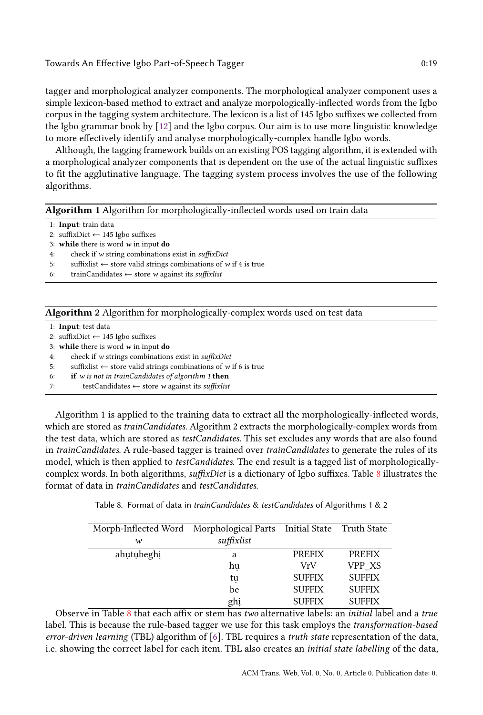## Towards An Effective Igbo Part-of-Speech Tagger 0:19

tagger and morphological analyzer components. The morphological analyzer component uses a simple lexicon-based method to extract and analyze morpologically-inflected words from the Igbo corpus in the tagging system architecture. The lexicon is a list of 145 Igbo suffixes we collected from the Igbo grammar book by [\[12\]](#page-24-15) and the Igbo corpus. Our aim is to use more linguistic knowledge to more effectively identify and analyse morphologically-complex handle Igbo words.

Although, the tagging framework builds on an existing POS tagging algorithm, it is extended with a morphological analyzer components that is dependent on the use of the actual linguistic suffixes to fit the agglutinative language. The tagging system process involves the use of the following algorithms.

#### <span id="page-18-1"></span>Algorithm 1 Algorithm for morphologically-inflected words used on train data

| 1: <b>Input</b> : train data |  |  |
|------------------------------|--|--|
|------------------------------|--|--|

- 2: suffixDict ← 145 Igbo suffixes
- 3: while there is word  $w$  in input do
- 4: check if w string combinations exist in suffixDict
- 5: suffixlist  $\leftarrow$  store valid strings combinations of w if 4 is true
- 6: trainCandidates  $\leftarrow$  store w against its suffixlist

## <span id="page-18-2"></span>Algorithm 2 Algorithm for morphologically-complex words used on test data

- 1: Input: test data
- 2: suffixDict ← 145 Igbo suffixes
- 3: while there is word  $w$  in input do
- 4: check if w strings combinations exist in suffixDict
- 5: suffixlist  $\leftarrow$  store valid strings combinations of w if 6 is true
- 6: if w is not in trainCandidates of algorithm  $1$  then
- 7: testCandidates ← store w against its suffixlist

Algorithm 1 is applied to the training data to extract all the morphologically-inflected words, which are stored as *trainCandidates*. Algorithm 2 extracts the morphologically-complex words from the test data, which are stored as *testCandidates*. This set excludes any words that are also found in *trainCandidates*. A rule-based tagger is trained over *trainCandidates* to generate the rules of its model, which is then applied to *testCandidates*. The end result is a tagged list of morphologically-complex words. In both algorithms, suffixDict is a dictionary of Igbo suffixes. Table [8](#page-18-0) illustrates the format of data in trainCandidates and testCandidates.

Table 8. Format of data in trainCandidates & testCandidates of Algorithms 1 & 2

<span id="page-18-0"></span>

| Morph-Inflected Word Morphological Parts Initial State Truth State |            |               |               |
|--------------------------------------------------------------------|------------|---------------|---------------|
| $\boldsymbol{\mathcal{W}}$                                         | suffixlist |               |               |
| ahutubeghi                                                         | a          | <b>PREFIX</b> | <b>PREFIX</b> |
|                                                                    | hu         | VrV           | VPP XS        |
|                                                                    | tų         | <b>SUFFIX</b> | <b>SUFFIX</b> |
|                                                                    | be         | <b>SUFFIX</b> | <b>SUFFIX</b> |
|                                                                    | ghi        | <b>SUFFIX</b> | <b>SUFFIX</b> |

Observe in Table  $8$  that each affix or stem has two alternative labels: an *initial* label and a true label. This is because the rule-based tagger we use for this task employs the *transformation-based* error-driven learning (TBL) algorithm of [\[6\]](#page-24-4). TBL requires a truth state representation of the data, i.e. showing the correct label for each item. TBL also creates an initial state labelling of the data,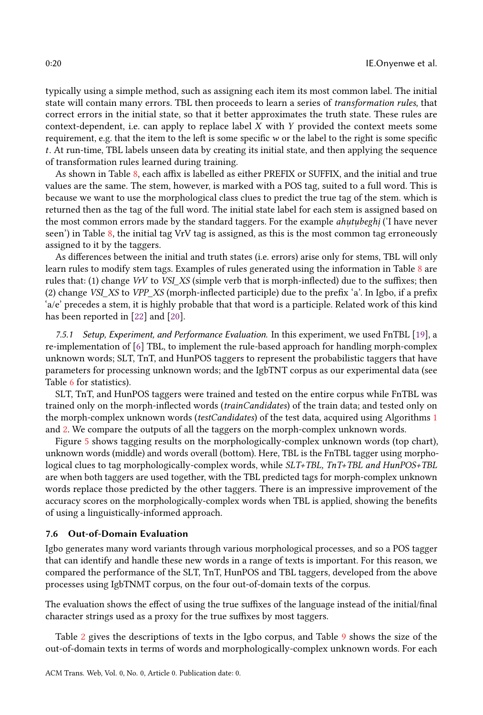typically using a simple method, such as assigning each item its most common label. The initial state will contain many errors. TBL then proceeds to learn a series of transformation rules, that correct errors in the initial state, so that it better approximates the truth state. These rules are context-dependent, i.e. can apply to replace label  $X$  with  $Y$  provided the context meets some requirement, e.g. that the item to the left is some specific w or the label to the right is some specific t. At run-time, TBL labels unseen data by creating its initial state, and then applying the sequence of transformation rules learned during training.

As shown in Table [8,](#page-18-0) each affix is labelled as either PREFIX or SUFFIX, and the initial and true values are the same. The stem, however, is marked with a POS tag, suited to a full word. This is because we want to use the morphological class clues to predict the true tag of the stem. which is returned then as the tag of the full word. The initial state label for each stem is assigned based on the most common errors made by the standard taggers. For the example *ahutubeghi* ('I have never seen') in Table [8,](#page-18-0) the initial tag VrV tag is assigned, as this is the most common tag erroneously assigned to it by the taggers.

As differences between the initial and truth states (i.e. errors) arise only for stems, TBL will only learn rules to modify stem tags. Examples of rules generated using the information in Table [8](#page-18-0) are rules that: (1) change VrV to VSI\_XS (simple verb that is morph-inflected) due to the suffixes; then (2) change VSI\_XS to VPP\_XS (morph-inflected participle) due to the prefix 'a'. In Igbo, if a prefix 'a/e' precedes a stem, it is highly probable that that word is a participle. Related work of this kind has been reported in [\[22\]](#page-25-12) and [\[20\]](#page-25-13).

7.5.1 Setup, Experiment, and Performance Evaluation. In this experiment, we used FnTBL [\[19\]](#page-25-6), a re-implementation of [\[6\]](#page-24-4) TBL, to implement the rule-based approach for handling morph-complex unknown words; SLT, TnT, and HunPOS taggers to represent the probabilistic taggers that have parameters for processing unknown words; and the IgbTNT corpus as our experimental data (see Table [6](#page-11-0) for statistics).

SLT, TnT, and HunPOS taggers were trained and tested on the entire corpus while FnTBL was trained only on the morph-inflected words (trainCandidates) of the train data; and tested only on the morph-complex unknown words (testCandidates) of the test data, acquired using Algorithms [1](#page-18-1) and [2.](#page-18-2) We compare the outputs of all the taggers on the morph-complex unknown words.

Figure [5](#page-20-0) shows tagging results on the morphologically-complex unknown words (top chart), unknown words (middle) and words overall (bottom). Here, TBL is the FnTBL tagger using morphological clues to tag morphologically-complex words, while SLT+TBL, TnT+TBL and HunPOS+TBL are when both taggers are used together, with the TBL predicted tags for morph-complex unknown words replace those predicted by the other taggers. There is an impressive improvement of the accuracy scores on the morphologically-complex words when TBL is applied, showing the benefits of using a linguistically-informed approach.

#### 7.6 Out-of-Domain Evaluation

Igbo generates many word variants through various morphological processes, and so a POS tagger that can identify and handle these new words in a range of texts is important. For this reason, we compared the performance of the SLT, TnT, HunPOS and TBL taggers, developed from the above processes using IgbTNMT corpus, on the four out-of-domain texts of the corpus.

The evaluation shows the effect of using the true suffixes of the language instead of the initial/final character strings used as a proxy for the true suffixes by most taggers.

Table [2](#page-6-0) gives the descriptions of texts in the Igbo corpus, and Table [9](#page-20-1) shows the size of the out-of-domain texts in terms of words and morphologically-complex unknown words. For each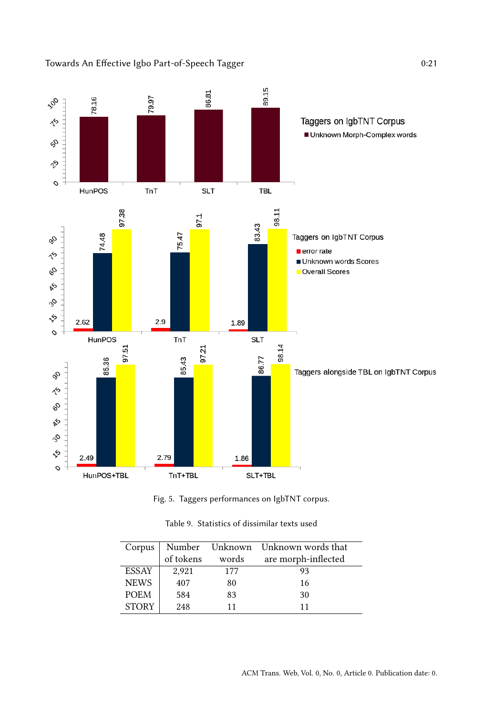<span id="page-20-0"></span>



<span id="page-20-1"></span>

| Corpus       |           |       | Number Unknown Unknown words that |
|--------------|-----------|-------|-----------------------------------|
|              | of tokens | words | are morph-inflected               |
| <b>ESSAY</b> | 2,921     | 177   | 93                                |
| <b>NEWS</b>  | 407       | 80    | 16                                |
| <b>POEM</b>  | 584       | 83    | 30                                |
| <b>STORY</b> | 248       | 11    | 11                                |

Table 9. Statistics of dissimilar texts used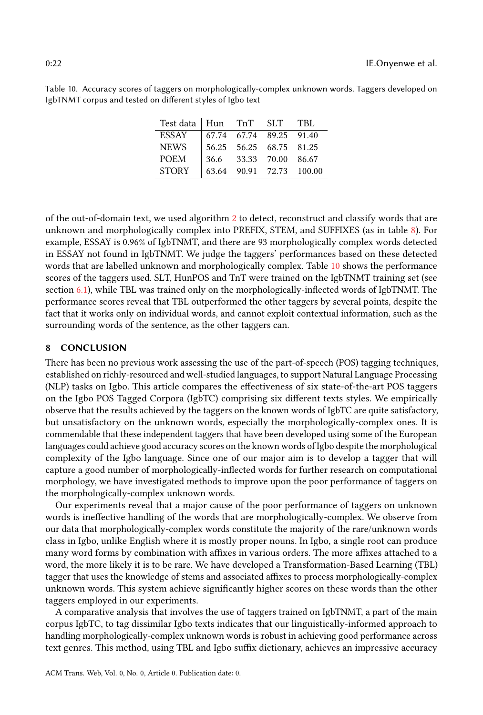<span id="page-21-0"></span>

| Table 10. Accuracy scores of taggers on morphologically-complex unknown words. Taggers developed on |  |  |  |
|-----------------------------------------------------------------------------------------------------|--|--|--|
| IgbTNMT corpus and tested on different styles of Igbo text                                          |  |  |  |

| Test data   Hun TnT SLT |  |                         | - TBL                    |
|-------------------------|--|-------------------------|--------------------------|
| <b>ESSAY</b>            |  | 67.74 67.74 89.25 91.40 |                          |
| <b>NEWS</b>             |  | 56.25 56.25 68.75 81.25 |                          |
| <b>POEM</b>             |  | 36.6 33.33 70.00 86.67  |                          |
| <b>STORY</b>            |  |                         | 63.64 90.91 72.73 100.00 |

of the out-of-domain text, we used algorithm [2](#page-18-2) to detect, reconstruct and classify words that are unknown and morphologically complex into PREFIX, STEM, and SUFFIXES (as in table [8\)](#page-18-0). For example, ESSAY is 0.96% of IgbTNMT, and there are 93 morphologically complex words detected in ESSAY not found in IgbTNMT. We judge the taggers' performances based on these detected words that are labelled unknown and morphologically complex. Table [10](#page-21-0) shows the performance scores of the taggers used. SLT, HunPOS and TnT were trained on the IgbTNMT training set (see section [6.1\)](#page-10-1), while TBL was trained only on the morphologically-inflected words of IgbTNMT. The performance scores reveal that TBL outperformed the other taggers by several points, despite the fact that it works only on individual words, and cannot exploit contextual information, such as the surrounding words of the sentence, as the other taggers can.

## 8 CONCLUSION

There has been no previous work assessing the use of the part-of-speech (POS) tagging techniques, established on richly-resourced and well-studied languages, to support Natural Language Processing (NLP) tasks on Igbo. This article compares the effectiveness of six state-of-the-art POS taggers on the Igbo POS Tagged Corpora (IgbTC) comprising six different texts styles. We empirically observe that the results achieved by the taggers on the known words of IgbTC are quite satisfactory, but unsatisfactory on the unknown words, especially the morphologically-complex ones. It is commendable that these independent taggers that have been developed using some of the European languages could achieve good accuracy scores on the known words of Igbo despite the morphological complexity of the Igbo language. Since one of our major aim is to develop a tagger that will capture a good number of morphologically-inflected words for further research on computational morphology, we have investigated methods to improve upon the poor performance of taggers on the morphologically-complex unknown words.

Our experiments reveal that a major cause of the poor performance of taggers on unknown words is ineffective handling of the words that are morphologically-complex. We observe from our data that morphologically-complex words constitute the majority of the rare/unknown words class in Igbo, unlike English where it is mostly proper nouns. In Igbo, a single root can produce many word forms by combination with affixes in various orders. The more affixes attached to a word, the more likely it is to be rare. We have developed a Transformation-Based Learning (TBL) tagger that uses the knowledge of stems and associated affixes to process morphologically-complex unknown words. This system achieve significantly higher scores on these words than the other taggers employed in our experiments.

A comparative analysis that involves the use of taggers trained on IgbTNMT, a part of the main corpus IgbTC, to tag dissimilar Igbo texts indicates that our linguistically-informed approach to handling morphologically-complex unknown words is robust in achieving good performance across text genres. This method, using TBL and Igbo suffix dictionary, achieves an impressive accuracy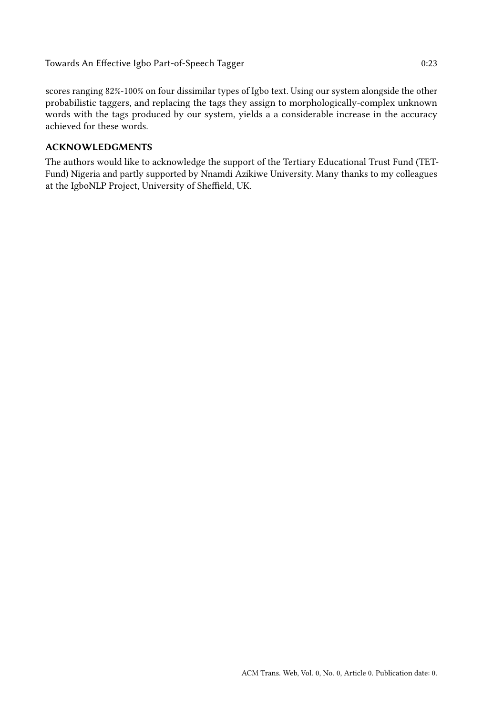scores ranging 82%-100% on four dissimilar types of Igbo text. Using our system alongside the other probabilistic taggers, and replacing the tags they assign to morphologically-complex unknown words with the tags produced by our system, yields a a considerable increase in the accuracy achieved for these words.

# ACKNOWLEDGMENTS

The authors would like to acknowledge the support of the Tertiary Educational Trust Fund (TET-Fund) Nigeria and partly supported by Nnamdi Azikiwe University. Many thanks to my colleagues at the IgboNLP Project, University of Sheffield, UK.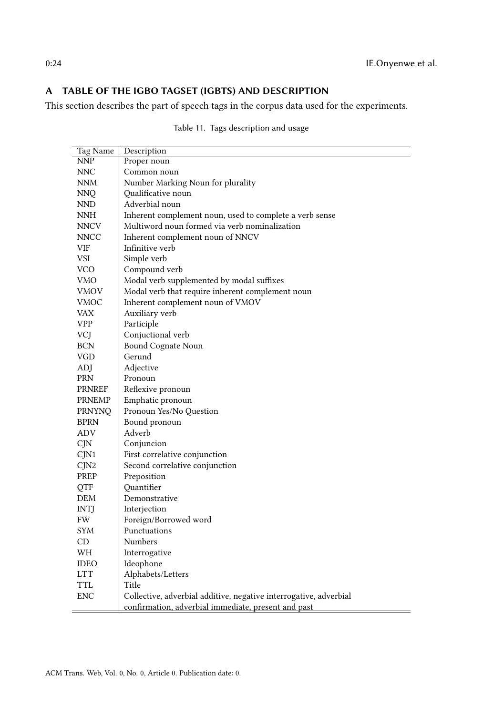# <span id="page-23-0"></span>A TABLE OF THE IGBO TAGSET (IGBTS) AND DESCRIPTION

This section describes the part of speech tags in the corpus data used for the experiments.

| Tag Name      | Description                                                       |
|---------------|-------------------------------------------------------------------|
| <b>NNP</b>    | Proper noun                                                       |
| <b>NNC</b>    | Common noun                                                       |
| <b>NNM</b>    | Number Marking Noun for plurality                                 |
| <b>NNO</b>    | <b>Oualificative</b> noun                                         |
| NND           | Adverbial noun                                                    |
| NNH           | Inherent complement noun, used to complete a verb sense           |
| <b>NNCV</b>   | Multiword noun formed via verb nominalization                     |
| <b>NNCC</b>   | Inherent complement noun of NNCV                                  |
| VIF           | Infinitive verb                                                   |
| VSI           | Simple verb                                                       |
| <b>VCO</b>    | Compound verb                                                     |
| VMO           | Modal verb supplemented by modal suffixes                         |
| VMOV          | Modal verb that require inherent complement noun                  |
| VMOC          | Inherent complement noun of VMOV                                  |
| <b>VAX</b>    | Auxiliary verb                                                    |
| <b>VPP</b>    | Participle                                                        |
| VCJ           | Conjuctional verb                                                 |
| <b>BCN</b>    | Bound Cognate Noun                                                |
| <b>VGD</b>    | Gerund                                                            |
| ADJ           | Adjective                                                         |
| PRN           | Pronoun                                                           |
| <b>PRNREF</b> | Reflexive pronoun                                                 |
| PRNEMP        | Emphatic pronoun                                                  |
| <b>PRNYNO</b> | Pronoun Yes/No Question                                           |
| <b>BPRN</b>   | Bound pronoun                                                     |
| ADV           | Adverb                                                            |
| CJN           | Conjuncion                                                        |
| CJN1          | First correlative conjunction                                     |
| CIN2          | Second correlative conjunction                                    |
| PREP          | Preposition                                                       |
| QTF           | Quantifier                                                        |
| <b>DEM</b>    | Demonstrative                                                     |
| <b>INTJ</b>   | Interjection                                                      |
| <b>FW</b>     | Foreign/Borrowed word                                             |
| SYM           | Punctuations                                                      |
| CD            | Numbers                                                           |
| WH            | Interrogative                                                     |
| <b>IDEO</b>   | Ideophone                                                         |
| <b>LTT</b>    | Alphabets/Letters                                                 |
| <b>TTL</b>    | Title                                                             |
| <b>ENC</b>    | Collective, adverbial additive, negative interrogative, adverbial |
|               | confirmation, adverbial immediate, present and past               |

Table 11. Tags description and usage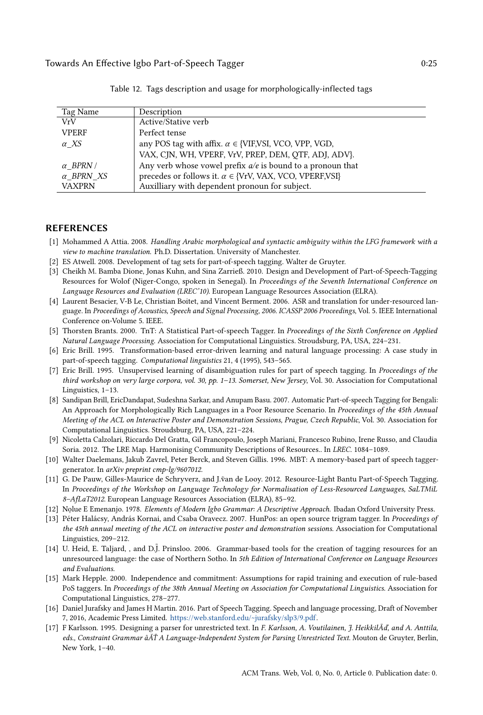<span id="page-24-10"></span>

| Tag Name         | Description                                                        |
|------------------|--------------------------------------------------------------------|
| VrV              | Active/Stative verb                                                |
| <b>VPERF</b>     | Perfect tense                                                      |
| $\alpha$ XS      | any POS tag with affix. $\alpha \in \{VIF, VSI, VCO, VPP, VGD,$    |
|                  | VAX, CJN, WH, VPERF, VrV, PREP, DEM, QTF, ADJ, ADV}.               |
| $\alpha$ BPRN /  | Any verb whose vowel prefix $a/e$ is bound to a pronoun that       |
| $\alpha$ BPRN XS | precedes or follows it. $\alpha \in \{VrV, VAX, VCO, VPERF, VSI\}$ |
| <b>VAXPRN</b>    | Auxilliary with dependent pronoun for subject.                     |

Table 12. Tags description and usage for morphologically-inflected tags

#### REFERENCES

- <span id="page-24-11"></span>[1] Mohammed A Attia. 2008. Handling Arabic morphological and syntactic ambiguity within the LFG framework with a view to machine translation. Ph.D. Dissertation. University of Manchester.
- <span id="page-24-16"></span>[2] ES Atwell. 2008. Development of tag sets for part-of-speech tagging. Walter de Gruyter.
- <span id="page-24-1"></span>[3] Cheikh M. Bamba Dione, Jonas Kuhn, and Sina Zarrieß. 2010. Design and Development of Part-of-Speech-Tagging Resources for Wolof (Niger-Congo, spoken in Senegal). In Proceedings of the Seventh International Conference on Language Resources and Evaluation (LREC'10). European Language Resources Association (ELRA).
- <span id="page-24-0"></span>[4] Laurent Besacier, V-B Le, Christian Boitet, and Vincent Berment. 2006. ASR and translation for under-resourced language. In Proceedings of Acoustics, Speech and Signal Processing, 2006. ICASSP 2006 Proceedings, Vol. 5. IEEE International Conference on-Volume 5. IEEE.
- <span id="page-24-6"></span>[5] Thorsten Brants. 2000. TnT: A Statistical Part-of-speech Tagger. In Proceedings of the Sixth Conference on Applied Natural Language Processing. Association for Computational Linguistics. Stroudsburg, PA, USA, 224–231.
- <span id="page-24-4"></span>[6] Eric Brill. 1995. Transformation-based error-driven learning and natural language processing: A case study in part-of-speech tagging. Computational linguistics 21, 4 (1995), 543–565.
- <span id="page-24-5"></span>[7] Eric Brill. 1995. Unsupervised learning of disambiguation rules for part of speech tagging. In Proceedings of the third workshop on very large corpora, vol. 30, pp. 1–13. Somerset, New Jersey, Vol. 30. Association for Computational Linguistics, 1–13.
- <span id="page-24-9"></span>[8] Sandipan Brill, EricDandapat, Sudeshna Sarkar, and Anupam Basu. 2007. Automatic Part-of-speech Tagging for Bengali: An Approach for Morphologically Rich Languages in a Poor Resource Scenario. In Proceedings of the 45th Annual Meeting of the ACL on Interactive Poster and Demonstration Sessions, Prague, Czech Republic, Vol. 30. Association for Computational Linguistics. Stroudsburg, PA, USA, 221–224.
- <span id="page-24-2"></span>[9] Nicoletta Calzolari, Riccardo Del Gratta, Gil Francopoulo, Joseph Mariani, Francesco Rubino, Irene Russo, and Claudia Soria. 2012. The LRE Map. Harmonising Community Descriptions of Resources.. In LREC. 1084–1089.
- <span id="page-24-8"></span>[10] Walter Daelemans, Jakub Zavrel, Peter Berck, and Steven Gillis. 1996. MBT: A memory-based part of speech taggergenerator. In arXiv preprint cmp-lg/9607012.
- <span id="page-24-17"></span>[11] G. De Pauw, Gilles-Maurice de Schryverz, and J.ṽan de Looy. 2012. Resource-Light Bantu Part-of-Speech Tagging. In Proceedings of the Workshop on Language Technology for Normalisation of Less-Resourced Languages, SaLTMiL 8–AfLaT2012. European Language Resources Association (ELRA), 85–92.
- <span id="page-24-15"></span>[12] Nolue E Emenanjo. 1978. *Elements of Modern Igbo Grammar: A Descriptive Approach*. Ibadan Oxford University Press.
- <span id="page-24-13"></span>[13] Péter Halácsy, András Kornai, and Csaba Oravecz. 2007. HunPos: an open source trigram tagger. In Proceedings of the 45th annual meeting of the ACL on interactive poster and demonstration sessions. Association for Computational Linguistics, 209–212.
- <span id="page-24-12"></span>[14] U. Heid, E. Taljard, , and D.J. Prinsloo. 2006. Grammar-based tools for the creation of tagging resources for an unresourced language: the case of Northern Sotho. In 5th Edition of International Conference on Language Resources and Evaluations.
- <span id="page-24-7"></span>[15] Mark Hepple. 2000. Independence and commitment: Assumptions for rapid training and execution of rule-based PoS taggers. In Proceedings of the 38th Annual Meeting on Association for Computational Linguistics. Association for Computational Linguistics, 278–277.
- <span id="page-24-14"></span>[16] Daniel Jurafsky and James H Martin. 2016. Part of Speech Tagging. Speech and language processing, Draft of November 7, 2016, Academic Press Limited. [https://web.stanford.edu/~jurafsky/slp3/9.pdf.](https://web.stanford.edu/~jurafsky/slp3/9.pdf)
- <span id="page-24-3"></span>[17] F Karlsson. 1995. Designing a parser for unrestricted text. In F. Karlsson, A. Voutilainen, J. HeikkilÃď, and A. Anttila, eds., Constraint Grammar âĂŤ A Language-Independent System for Parsing Unrestricted Text. Mouton de Gruyter, Berlin, New York, 1–40.